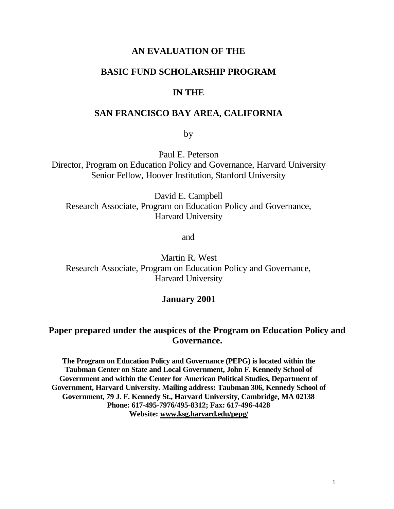### **AN EVALUATION OF THE**

### **BASIC FUND SCHOLARSHIP PROGRAM**

#### **IN THE**

### **SAN FRANCISCO BAY AREA, CALIFORNIA**

by

Paul E. Peterson

Director, Program on Education Policy and Governance, Harvard University Senior Fellow, Hoover Institution, Stanford University

David E. Campbell Research Associate, Program on Education Policy and Governance, Harvard University

and

Martin R. West Research Associate, Program on Education Policy and Governance, Harvard University

#### **January 2001**

### **Paper prepared under the auspices of the Program on Education Policy and Governance.**

**The Program on Education Policy and Governance (PEPG) is located within the Taubman Center on State and Local Government, John F. Kennedy School of Government and within the Center for American Political Studies, Department of Government, Harvard University. Mailing address: Taubman 306, Kennedy School of Government, 79 J. F. Kennedy St., Harvard University, Cambridge, MA 02138 Phone: 617-495-7976/495-8312; Fax: 617-496-4428 Website: www.ksg.harvard.edu/pepg/**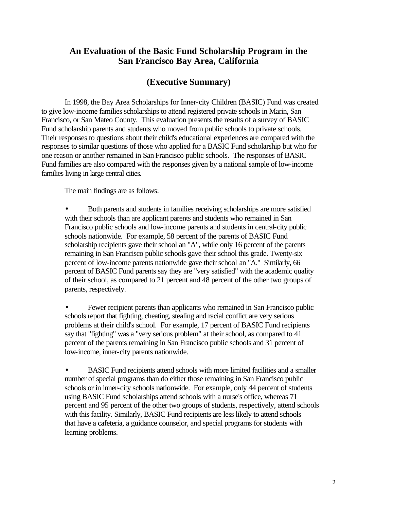### **An Evaluation of the Basic Fund Scholarship Program in the San Francisco Bay Area, California**

### **(Executive Summary)**

In 1998, the Bay Area Scholarships for Inner-city Children (BASIC) Fund was created to give low-income families scholarships to attend registered private schools in Marin, San Francisco, or San Mateo County. This evaluation presents the results of a survey of BASIC Fund scholarship parents and students who moved from public schools to private schools. Their responses to questions about their child's educational experiences are compared with the responses to similar questions of those who applied for a BASIC Fund scholarship but who for one reason or another remained in San Francisco public schools. The responses of BASIC Fund families are also compared with the responses given by a national sample of low-income families living in large central cities.

The main findings are as follows:

• Both parents and students in families receiving scholarships are more satisfied with their schools than are applicant parents and students who remained in San Francisco public schools and low-income parents and students in central-city public schools nationwide. For example, 58 percent of the parents of BASIC Fund scholarship recipients gave their school an "A", while only 16 percent of the parents remaining in San Francisco public schools gave their school this grade. Twenty-six percent of low-income parents nationwide gave their school an "A." Similarly, 66 percent of BASIC Fund parents say they are "very satisfied" with the academic quality of their school, as compared to 21 percent and 48 percent of the other two groups of parents, respectively.

• Fewer recipient parents than applicants who remained in San Francisco public schools report that fighting, cheating, stealing and racial conflict are very serious problems at their child's school. For example, 17 percent of BASIC Fund recipients say that "fighting" was a "very serious problem" at their school, as compared to 41 percent of the parents remaining in San Francisco public schools and 31 percent of low-income, inner-city parents nationwide.

• BASIC Fund recipients attend schools with more limited facilities and a smaller number of special programs than do either those remaining in San Francisco public schools or in inner-city schools nationwide. For example, only 44 percent of students using BASIC Fund scholarships attend schools with a nurse's office, whereas 71 percent and 95 percent of the other two groups of students, respectively, attend schools with this facility. Similarly, BASIC Fund recipients are less likely to attend schools that have a cafeteria, a guidance counselor, and special programs for students with learning problems.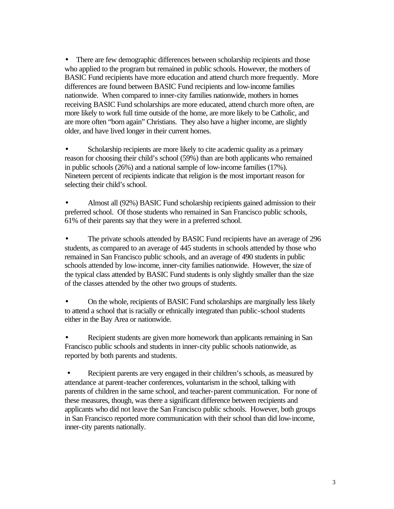• There are few demographic differences between scholarship recipients and those who applied to the program but remained in public schools. However, the mothers of BASIC Fund recipients have more education and attend church more frequently. More differences are found between BASIC Fund recipients and low-income families nationwide. When compared to inner-city families nationwide, mothers in homes receiving BASIC Fund scholarships are more educated, attend church more often, are more likely to work full time outside of the home, are more likely to be Catholic, and are more often "born again" Christians. They also have a higher income, are slightly older, and have lived longer in their current homes.

Scholarship recipients are more likely to cite academic quality as a primary reason for choosing their child's school (59%) than are both applicants who remained in public schools (26%) and a national sample of low-income families (17%). Nineteen percent of recipients indicate that religion is the most important reason for selecting their child's school.

• Almost all (92%) BASIC Fund scholarship recipients gained admission to their preferred school. Of those students who remained in San Francisco public schools, 61% of their parents say that they were in a preferred school.

• The private schools attended by BASIC Fund recipients have an average of 296 students, as compared to an average of 445 students in schools attended by those who remained in San Francisco public schools, and an average of 490 students in public schools attended by low-income, inner-city families nationwide. However, the size of the typical class attended by BASIC Fund students is only slightly smaller than the size of the classes attended by the other two groups of students.

• On the whole, recipients of BASIC Fund scholarships are marginally less likely to attend a school that is racially or ethnically integrated than public-school students either in the Bay Area or nationwide.

• Recipient students are given more homework than applicants remaining in San Francisco public schools and students in inner-city public schools nationwide, as reported by both parents and students.

• Recipient parents are very engaged in their children's schools, as measured by attendance at parent-teacher conferences, voluntarism in the school, talking with parents of children in the same school, and teacher-parent communication. For none of these measures, though, was there a significant difference between recipients and applicants who did not leave the San Francisco public schools. However, both groups in San Francisco reported more communication with their school than did low-income, inner-city parents nationally.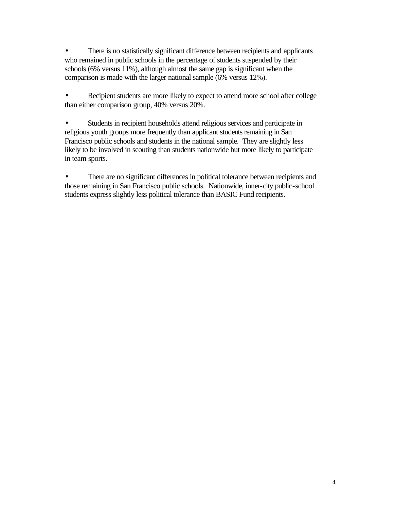• There is no statistically significant difference between recipients and applicants who remained in public schools in the percentage of students suspended by their schools (6% versus 11%), although almost the same gap is significant when the comparison is made with the larger national sample (6% versus 12%).

Recipient students are more likely to expect to attend more school after college than either comparison group, 40% versus 20%.

• Students in recipient households attend religious services and participate in religious youth groups more frequently than applicant students remaining in San Francisco public schools and students in the national sample. They are slightly less likely to be involved in scouting than students nationwide but more likely to participate in team sports.

• There are no significant differences in political tolerance between recipients and those remaining in San Francisco public schools. Nationwide, inner-city public-school students express slightly less political tolerance than BASIC Fund recipients.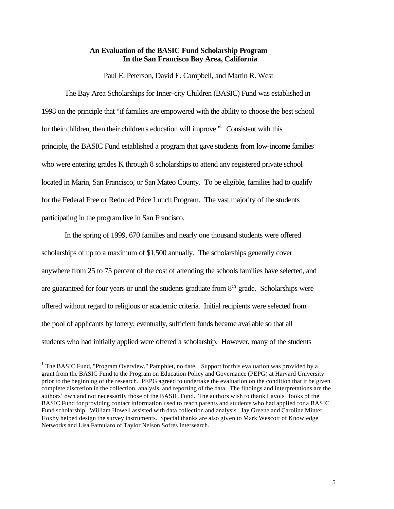#### **An Evaluation of the BASIC Fund Scholarship Program In the San Francisco Bay Area, California**

Paul E. Peterson, David E. Campbell, and Martin R. West

The Bay Area Scholarships for Inner-city Children (BASIC) Fund was established in 1998 on the principle that "if families are empowered with the ability to choose the best school for their children, then their children's education will improve.<sup>"</sup> Consistent with this principle, the BASIC Fund established a program that gave students from low-income families who were entering grades K through 8 scholarships to attend any registered private school located in Marin, San Francisco, or San Mateo County. To be eligible, families had to qualify for the Federal Free or Reduced Price Lunch Program. The vast majority of the students participating in the program live in San Francisco.

In the spring of 1999, 670 families and nearly one thousand students were offered scholarships of up to a maximum of \$1,500 annually. The scholarships generally cover anywhere from 25 to 75 percent of the cost of attending the schools families have selected, and are guaranteed for four years or until the students graduate from  $8<sup>th</sup>$  grade. Scholarships were offered without regard to religious or academic criteria. Initial recipients were selected from the pool of applicants by lottery; eventually, sufficient funds became available so that all students who had initially applied were offered a scholarship. However, many of the students

<sup>&</sup>lt;sup>1</sup> The BASIC Fund, "Program Overview," Pamphlet, no date. Support for this evaluation was provided by a grant from the BASIC Fund to the Program on Education Policy and Governance (PEPG) at Harvard University prior to the beginning of the research. PEPG agreed to undertake the evaluation on the condition that it be given complete discretion in the collection, analysis, and reporting of the data. The findings and interpretations are the authors' own and not necessarily those of the BASIC Fund. The authors wish to thank Lavois Hooks of the BASIC Fund for providing contact information used to reach parents and students who had applied for a BASIC Fund scholarship. William Howell assisted with data collection and analysis. Jay Greene and Caroline Minter Hoxby helped design the survey instruments. Special thanks are also given to Mark Wescott of Knowledge Networks and Lisa Famularo of Taylor Nelson Sofres Intersearch.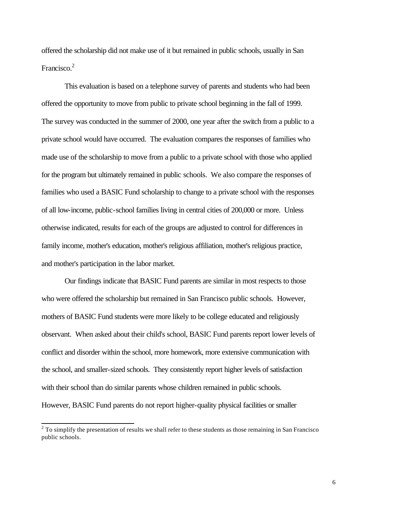offered the scholarship did not make use of it but remained in public schools, usually in San Francisco.<sup>2</sup>

This evaluation is based on a telephone survey of parents and students who had been offered the opportunity to move from public to private school beginning in the fall of 1999. The survey was conducted in the summer of 2000, one year after the switch from a public to a private school would have occurred. The evaluation compares the responses of families who made use of the scholarship to move from a public to a private school with those who applied for the program but ultimately remained in public schools. We also compare the responses of families who used a BASIC Fund scholarship to change to a private school with the responses of all low-income, public-school families living in central cities of 200,000 or more. Unless otherwise indicated, results for each of the groups are adjusted to control for differences in family income, mother's education, mother's religious affiliation, mother's religious practice, and mother's participation in the labor market.

Our findings indicate that BASIC Fund parents are similar in most respects to those who were offered the scholarship but remained in San Francisco public schools. However, mothers of BASIC Fund students were more likely to be college educated and religiously observant. When asked about their child's school, BASIC Fund parents report lower levels of conflict and disorder within the school, more homework, more extensive communication with the school, and smaller-sized schools. They consistently report higher levels of satisfaction with their school than do similar parents whose children remained in public schools. However, BASIC Fund parents do not report higher-quality physical facilities or smaller

<sup>&</sup>lt;sup>2</sup> To simplify the presentation of results we shall refer to these students as those remaining in San Francisco public schools.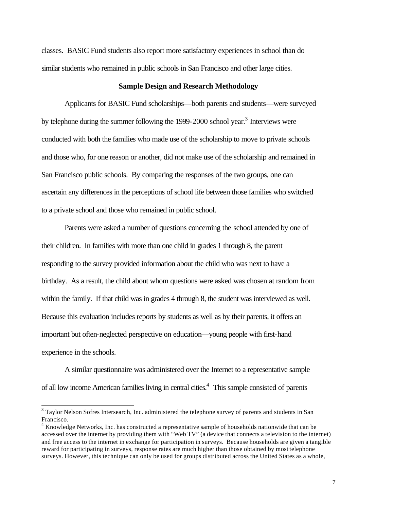classes. BASIC Fund students also report more satisfactory experiences in school than do similar students who remained in public schools in San Francisco and other large cities.

#### **Sample Design and Research Methodology**

Applicants for BASIC Fund scholarships—both parents and students—were surveyed by telephone during the summer following the 1999-2000 school year.<sup>3</sup> Interviews were conducted with both the families who made use of the scholarship to move to private schools and those who, for one reason or another, did not make use of the scholarship and remained in San Francisco public schools. By comparing the responses of the two groups, one can ascertain any differences in the perceptions of school life between those families who switched to a private school and those who remained in public school.

Parents were asked a number of questions concerning the school attended by one of their children. In families with more than one child in grades 1 through 8, the parent responding to the survey provided information about the child who was next to have a birthday. As a result, the child about whom questions were asked was chosen at random from within the family. If that child was in grades 4 through 8, the student was interviewed as well. Because this evaluation includes reports by students as well as by their parents, it offers an important but often-neglected perspective on education—young people with first-hand experience in the schools.

A similar questionnaire was administered over the Internet to a representative sample of all low income American families living in central cities.<sup>4</sup> This sample consisted of parents

 $3$  Taylor Nelson Sofres Intersearch, Inc. administered the telephone survey of parents and students in San Francisco.

<sup>&</sup>lt;sup>4</sup> Knowledge Networks, Inc. has constructed a representative sample of households nationwide that can be accessed over the internet by providing them with "Web TV" (a device that connects a television to the internet) and free access to the internet in exchange for participation in surveys. Because households are given a tangible reward for participating in surveys, response rates are much higher than those obtained by most telephone surveys. However, this technique can only be used for groups distributed across the United States as a whole,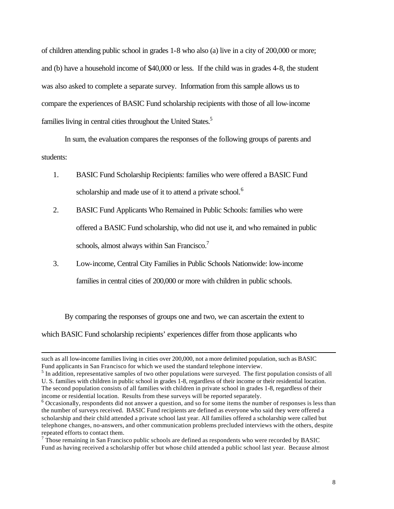of children attending public school in grades 1-8 who also (a) live in a city of 200,000 or more; and (b) have a household income of \$40,000 or less. If the child was in grades 4-8, the student was also asked to complete a separate survey. Information from this sample allows us to compare the experiences of BASIC Fund scholarship recipients with those of all low-income families living in central cities throughout the United States.<sup>5</sup>

In sum, the evaluation compares the responses of the following groups of parents and students:

- 1. BASIC Fund Scholarship Recipients: families who were offered a BASIC Fund scholarship and made use of it to attend a private school.<sup>6</sup>
- 2. BASIC Fund Applicants Who Remained in Public Schools: families who were offered a BASIC Fund scholarship, who did not use it, and who remained in public schools, almost always within San Francisco. $<sup>7</sup>$ </sup>
- 3. Low-income, Central City Families in Public Schools Nationwide: low-income families in central cities of 200,000 or more with children in public schools.

By comparing the responses of groups one and two, we can ascertain the extent to

which BASIC Fund scholarship recipients' experiences differ from those applicants who

such as all low-income families living in cities over 200,000, not a more delimited population, such as BASIC Fund applicants in San Francisco for which we used the standard telephone interview.

<sup>&</sup>lt;sup>5</sup> In addition, representative samples of two other populations were surveyed. The first population consists of all U. S. families with children in public school in grades 1-8, regardless of their income or their residential location. The second population consists of all families with children in private school in grades 1-8, regardless of their income or residential location. Results from these surveys will be reported separately.

 $6$  Occasionally, respondents did not answer a question, and so for some items the number of responses is less than the number of surveys received. BASIC Fund recipients are defined as everyone who said they were offered a scholarship and their child attended a private school last year. All families offered a scholarship were called but telephone changes, no-answers, and other communication problems precluded interviews with the others, despite repeated efforts to contact them.

 $7$  Those remaining in San Francisco public schools are defined as respondents who were recorded by BASIC Fund as having received a scholarship offer but whose child attended a public school last year. Because almost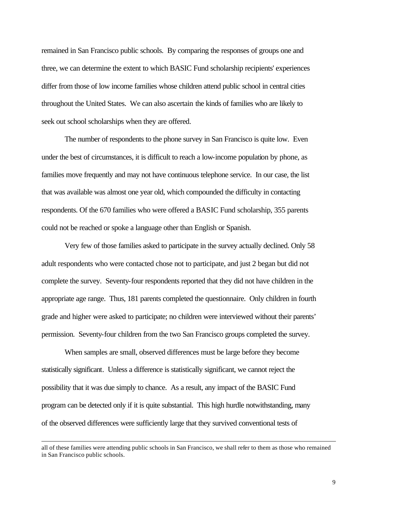remained in San Francisco public schools. By comparing the responses of groups one and three, we can determine the extent to which BASIC Fund scholarship recipients' experiences differ from those of low income families whose children attend public school in central cities throughout the United States. We can also ascertain the kinds of families who are likely to seek out school scholarships when they are offered.

The number of respondents to the phone survey in San Francisco is quite low. Even under the best of circumstances, it is difficult to reach a low-income population by phone, as families move frequently and may not have continuous telephone service. In our case, the list that was available was almost one year old, which compounded the difficulty in contacting respondents. Of the 670 families who were offered a BASIC Fund scholarship, 355 parents could not be reached or spoke a language other than English or Spanish.

Very few of those families asked to participate in the survey actually declined. Only 58 adult respondents who were contacted chose not to participate, and just 2 began but did not complete the survey. Seventy-four respondents reported that they did not have children in the appropriate age range. Thus, 181 parents completed the questionnaire. Only children in fourth grade and higher were asked to participate; no children were interviewed without their parents' permission. Seventy-four children from the two San Francisco groups completed the survey.

When samples are small, observed differences must be large before they become statistically significant. Unless a difference is statistically significant, we cannot reject the possibility that it was due simply to chance. As a result, any impact of the BASIC Fund program can be detected only if it is quite substantial. This high hurdle notwithstanding, many of the observed differences were sufficiently large that they survived conventional tests of

all of these families were attending public schools in San Francisco, we shall refer to them as those who remained in San Francisco public schools.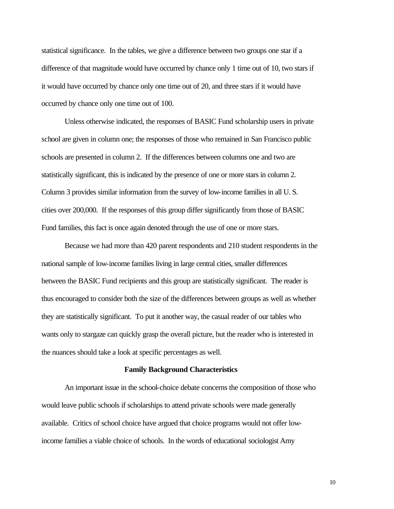statistical significance. In the tables, we give a difference between two groups one star if a difference of that magnitude would have occurred by chance only 1 time out of 10, two stars if it would have occurred by chance only one time out of 20, and three stars if it would have occurred by chance only one time out of 100.

Unless otherwise indicated, the responses of BASIC Fund scholarship users in private school are given in column one; the responses of those who remained in San Francisco public schools are presented in column 2. If the differences between columns one and two are statistically significant, this is indicated by the presence of one or more stars in column 2. Column 3 provides similar information from the survey of low-income families in all U. S. cities over 200,000. If the responses of this group differ significantly from those of BASIC Fund families, this fact is once again denoted through the use of one or more stars.

Because we had more than 420 parent respondents and 210 student respondents in the national sample of low-income families living in large central cities, smaller differences between the BASIC Fund recipients and this group are statistically significant. The reader is thus encouraged to consider both the size of the differences between groups as well as whether they are statistically significant. To put it another way, the casual reader of our tables who wants only to stargaze can quickly grasp the overall picture, but the reader who is interested in the nuances should take a look at specific percentages as well.

#### **Family Background Characteristics**

An important issue in the school-choice debate concerns the composition of those who would leave public schools if scholarships to attend private schools were made generally available. Critics of school choice have argued that choice programs would not offer lowincome families a viable choice of schools. In the words of educational sociologist Amy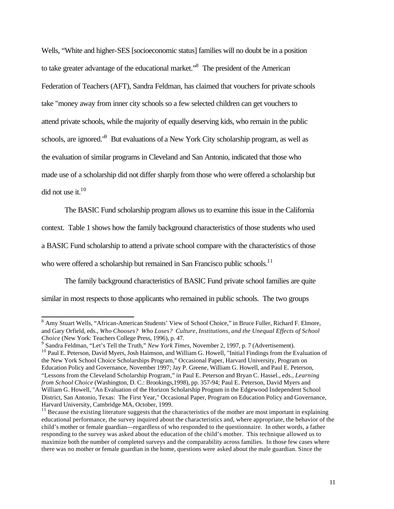Wells, "White and higher-SES [socioeconomic status] families will no doubt be in a position to take greater advantage of the educational market."<sup>8</sup> The president of the American Federation of Teachers (AFT), Sandra Feldman, has claimed that vouchers for private schools take "money away from inner city schools so a few selected children can get vouchers to attend private schools, while the majority of equally deserving kids, who remain in the public schools, are ignored.<sup>19</sup> But evaluations of a New York City scholarship program, as well as the evaluation of similar programs in Cleveland and San Antonio, indicated that those who made use of a scholarship did not differ sharply from those who were offered a scholarship but did not use it.<sup>10</sup>

The BASIC Fund scholarship program allows us to examine this issue in the California context. Table 1 shows how the family background characteristics of those students who used a BASIC Fund scholarship to attend a private school compare with the characteristics of those who were offered a scholarship but remained in San Francisco public schools.<sup>11</sup>

The family background characteristics of BASIC Fund private school families are quite similar in most respects to those applicants who remained in public schools. The two groups

<sup>&</sup>lt;sup>8</sup> Amy Stuart Wells, "African-American Students' View of School Choice," in Bruce Fuller, Richard F. Elmore, and Gary Orfield, eds., *Who Chooses? Who Loses? Culture, Institutions, and the Unequal Effects of School Choice* (New York: Teachers College Press, 1996), p. 47.

<sup>9</sup> Sandra Feldman, "Let's Tell the Truth," *New York Times*, November 2, 1997, p. 7 (Advertisement).

<sup>&</sup>lt;sup>10</sup> Paul E. Peterson, David Myers, Josh Haimson, and William G. Howell, "Initial Findings from the Evaluation of the New York School Choice Scholarships Program," Occasional Paper, Harvard University, Program on Education Policy and Governance, November 1997; Jay P. Greene, William G. Howell, and Paul E. Peterson, "Lessons from the Cleveland Scholarship Program," in Paul E. Peterson and Bryan C. Hassel., eds., *Learning from School Choice* (Washington, D. C.: Brookings,1998), pp. 357-94; Paul E. Peterson, David Myers and William G. Howell, "An Evaluation of the Horizon Scholarship Program in the Edgewood Independent School District, San Antonio, Texas: The First Year," Occasional Paper, Program on Education Policy and Governance, Harvard University, Cambridge MA, October, 1999.

 $11$  Because the existing literature suggests that the characteristics of the mother are most important in explaining educational performance, the survey inquired about the characteristics and, where appropriate, the behavior of the child's mother or female guardian—regardless of who responded to the questionnaire. In other words, a father responding to the survey was asked about the education of the child's mother. This technique allowed us to maximize both the number of completed surveys and the comparability across families. In those few cases where there was no mother or female guardian in the home, questions were asked about the male guardian. Since the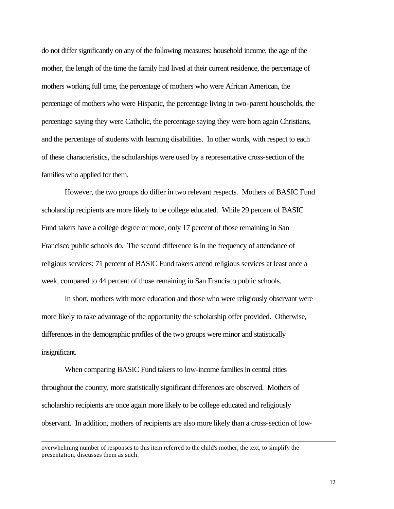do not differ significantly on any of the following measures: household income, the age of the mother, the length of the time the family had lived at their current residence, the percentage of mothers working full time, the percentage of mothers who were African American, the percentage of mothers who were Hispanic, the percentage living in two-parent households, the percentage saying they were Catholic, the percentage saying they were born again Christians, and the percentage of students with learning disabilities. In other words, with respect to each of these characteristics, the scholarships were used by a representative cross-section of the families who applied for them.

However, the two groups do differ in two relevant respects. Mothers of BASIC Fund scholarship recipients are more likely to be college educated. While 29 percent of BASIC Fund takers have a college degree or more, only 17 percent of those remaining in San Francisco public schools do. The second difference is in the frequency of attendance of religious services: 71 percent of BASIC Fund takers attend religious services at least once a week, compared to 44 percent of those remaining in San Francisco public schools.

In short, mothers with more education and those who were religiously observant were more likely to take advantage of the opportunity the scholarship offer provided. Otherwise, differences in the demographic profiles of the two groups were minor and statistically insignificant.

When comparing BASIC Fund takers to low-income families in central cities throughout the country, more statistically significant differences are observed. Mothers of scholarship recipients are once again more likely to be college educated and religiously observant. In addition, mothers of recipients are also more likely than a cross-section of low-

overwhelming number of responses to this item referred to the child's mother, the text, to simplify the presentation, discusses them as such.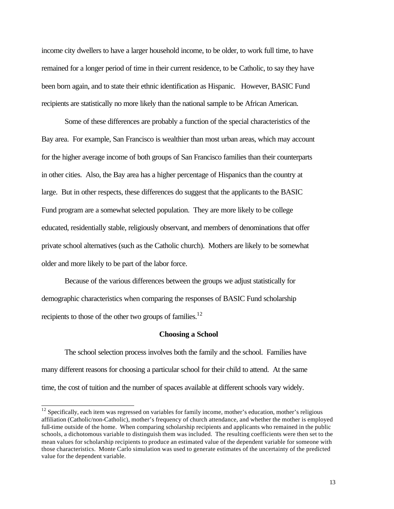income city dwellers to have a larger household income, to be older, to work full time, to have remained for a longer period of time in their current residence, to be Catholic, to say they have been born again, and to state their ethnic identification as Hispanic. However, BASIC Fund recipients are statistically no more likely than the national sample to be African American.

Some of these differences are probably a function of the special characteristics of the Bay area. For example, San Francisco is wealthier than most urban areas, which may account for the higher average income of both groups of San Francisco families than their counterparts in other cities. Also, the Bay area has a higher percentage of Hispanics than the country at large. But in other respects, these differences do suggest that the applicants to the BASIC Fund program are a somewhat selected population. They are more likely to be college educated, residentially stable, religiously observant, and members of denominations that offer private school alternatives (such as the Catholic church). Mothers are likely to be somewhat older and more likely to be part of the labor force.

Because of the various differences between the groups we adjust statistically for demographic characteristics when comparing the responses of BASIC Fund scholarship recipients to those of the other two groups of families.<sup>12</sup>

#### **Choosing a School**

The school selection process involves both the family and the school. Families have many different reasons for choosing a particular school for their child to attend. At the same time, the cost of tuition and the number of spaces available at different schools vary widely.

 $12$  Specifically, each item was regressed on variables for family income, mother's education, mother's religious affiliation (Catholic/non-Catholic), mother's frequency of church attendance, and whether the mother is employed full-time outside of the home. When comparing scholarship recipients and applicants who remained in the public schools, a dichotomous variable to distinguish them was included. The resulting coefficients were then set to the mean values for scholarship recipients to produce an estimated value of the dependent variable for someone with those characteristics. Monte Carlo simulation was used to generate estimates of the uncertainty of the predicted value for the dependent variable.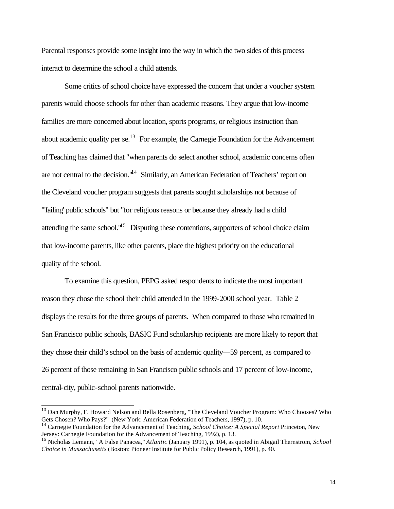Parental responses provide some insight into the way in which the two sides of this process interact to determine the school a child attends.

Some critics of school choice have expressed the concern that under a voucher system parents would choose schools for other than academic reasons. They argue that low-income families are more concerned about location, sports programs, or religious instruction than about academic quality per se.<sup>13</sup> For example, the Carnegie Foundation for the Advancement of Teaching has claimed that "when parents do select another school, academic concerns often are not central to the decision."<sup>14</sup> Similarly, an American Federation of Teachers' report on the Cleveland voucher program suggests that parents sought scholarships not because of "'failing' public schools" but "for religious reasons or because they already had a child attending the same school. $1^{15}$  Disputing these contentions, supporters of school choice claim that low-income parents, like other parents, place the highest priority on the educational quality of the school.

To examine this question, PEPG asked respondents to indicate the most important reason they chose the school their child attended in the 1999-2000 school year. Table 2 displays the results for the three groups of parents. When compared to those who remained in San Francisco public schools, BASIC Fund scholarship recipients are more likely to report that they chose their child's school on the basis of academic quality—59 percent, as compared to 26 percent of those remaining in San Francisco public schools and 17 percent of low-income, central-city, public-school parents nationwide.

<sup>&</sup>lt;sup>13</sup> Dan Murphy, F. Howard Nelson and Bella Rosenberg, "The Cleveland Voucher Program: Who Chooses? Who Gets Chosen? Who Pays?" (New York: American Federation of Teachers, 1997), p. 10.

<sup>14</sup> Carnegie Foundation for the Advancement of Teaching, *School Choice: A Special Report* Princeton, New Jersey: Carnegie Foundation for the Advancement of Teaching, 1992), p. 13.

<sup>15</sup> Nicholas Lemann, "A False Panacea," *Atlantic* (January 1991), p. 104, as quoted in Abigail Thernstrom, *School Choice in Massachusetts* (Boston: Pioneer Institute for Public Policy Research, 1991), p. 40.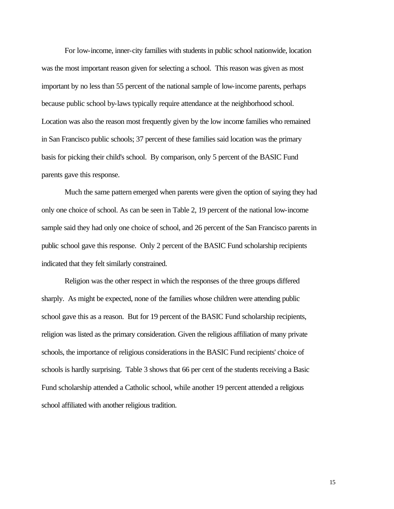For low-income, inner-city families with students in public school nationwide, location was the most important reason given for selecting a school. This reason was given as most important by no less than 55 percent of the national sample of low-income parents, perhaps because public school by-laws typically require attendance at the neighborhood school. Location was also the reason most frequently given by the low income families who remained in San Francisco public schools; 37 percent of these families said location was the primary basis for picking their child's school. By comparison, only 5 percent of the BASIC Fund parents gave this response.

Much the same pattern emerged when parents were given the option of saying they had only one choice of school. As can be seen in Table 2, 19 percent of the national low-income sample said they had only one choice of school, and 26 percent of the San Francisco parents in public school gave this response. Only 2 percent of the BASIC Fund scholarship recipients indicated that they felt similarly constrained.

Religion was the other respect in which the responses of the three groups differed sharply. As might be expected, none of the families whose children were attending public school gave this as a reason. But for 19 percent of the BASIC Fund scholarship recipients, religion was listed as the primary consideration. Given the religious affiliation of many private schools, the importance of religious considerations in the BASIC Fund recipients' choice of schools is hardly surprising. Table 3 shows that 66 per cent of the students receiving a Basic Fund scholarship attended a Catholic school, while another 19 percent attended a religious school affiliated with another religious tradition.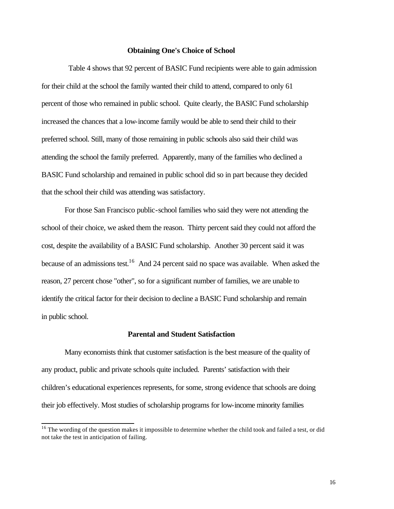#### **Obtaining One's Choice of School**

 Table 4 shows that 92 percent of BASIC Fund recipients were able to gain admission for their child at the school the family wanted their child to attend, compared to only 61 percent of those who remained in public school. Quite clearly, the BASIC Fund scholarship increased the chances that a low-income family would be able to send their child to their preferred school. Still, many of those remaining in public schools also said their child was attending the school the family preferred. Apparently, many of the families who declined a BASIC Fund scholarship and remained in public school did so in part because they decided that the school their child was attending was satisfactory.

For those San Francisco public-school families who said they were not attending the school of their choice, we asked them the reason. Thirty percent said they could not afford the cost, despite the availability of a BASIC Fund scholarship. Another 30 percent said it was because of an admissions test.<sup>16</sup> And 24 percent said no space was available. When asked the reason, 27 percent chose "other", so for a significant number of families, we are unable to identify the critical factor for their decision to decline a BASIC Fund scholarship and remain in public school.

#### **Parental and Student Satisfaction**

Many economists think that customer satisfaction is the best measure of the quality of any product, public and private schools quite included. Parents' satisfaction with their children's educational experiences represents, for some, strong evidence that schools are doing their job effectively. Most studies of scholarship programs for low-income minority families

 $16$  The wording of the question makes it impossible to determine whether the child took and failed a test, or did not take the test in anticipation of failing.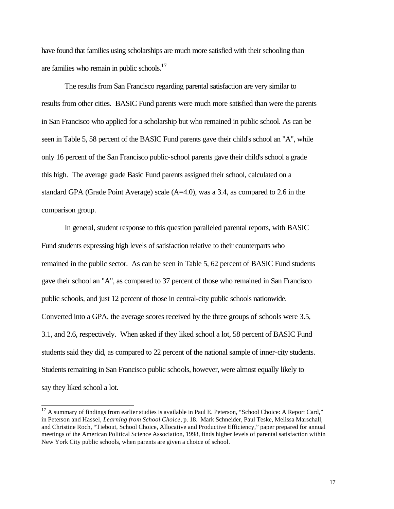have found that families using scholarships are much more satisfied with their schooling than are families who remain in public schools. $17$ 

The results from San Francisco regarding parental satisfaction are very similar to results from other cities. BASIC Fund parents were much more satisfied than were the parents in San Francisco who applied for a scholarship but who remained in public school. As can be seen in Table 5, 58 percent of the BASIC Fund parents gave their child's school an "A", while only 16 percent of the San Francisco public-school parents gave their child's school a grade this high. The average grade Basic Fund parents assigned their school, calculated on a standard GPA (Grade Point Average) scale (A=4.0), was a 3.4, as compared to 2.6 in the comparison group.

In general, student response to this question paralleled parental reports, with BASIC Fund students expressing high levels of satisfaction relative to their counterparts who remained in the public sector. As can be seen in Table 5, 62 percent of BASIC Fund students gave their school an "A", as compared to 37 percent of those who remained in San Francisco public schools, and just 12 percent of those in central-city public schools nationwide. Converted into a GPA, the average scores received by the three groups of schools were 3.5, 3.1, and 2.6, respectively. When asked if they liked school a lot, 58 percent of BASIC Fund students said they did, as compared to 22 percent of the national sample of inner-city students. Students remaining in San Francisco public schools, however, were almost equally likely to say they liked school a lot.

 $17$  A summary of findings from earlier studies is available in Paul E. Peterson, "School Choice: A Report Card," in Peterson and Hassel, *Learning from School Choice*, p. 18. Mark Schneider, Paul Teske, Melissa Marschall, and Christine Roch, "Tiebout, School Choice, Allocative and Productive Efficiency," paper prepared for annual meetings of the American Political Science Association, 1998, finds higher levels of parental satisfaction within New York City public schools, when parents are given a choice of school.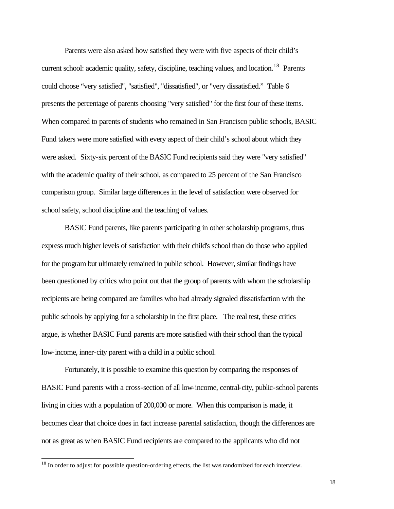Parents were also asked how satisfied they were with five aspects of their child's current school: academic quality, safety, discipline, teaching values, and location.<sup>18</sup> Parents could choose "very satisfied", "satisfied", "dissatisfied", or "very dissatisfied." Table 6 presents the percentage of parents choosing "very satisfied" for the first four of these items. When compared to parents of students who remained in San Francisco public schools, BASIC Fund takers were more satisfied with every aspect of their child's school about which they were asked. Sixty-six percent of the BASIC Fund recipients said they were "very satisfied" with the academic quality of their school, as compared to 25 percent of the San Francisco comparison group. Similar large differences in the level of satisfaction were observed for school safety, school discipline and the teaching of values.

BASIC Fund parents, like parents participating in other scholarship programs, thus express much higher levels of satisfaction with their child's school than do those who applied for the program but ultimately remained in public school. However, similar findings have been questioned by critics who point out that the group of parents with whom the scholarship recipients are being compared are families who had already signaled dissatisfaction with the public schools by applying for a scholarship in the first place. The real test, these critics argue, is whether BASIC Fund parents are more satisfied with their school than the typical low-income, inner-city parent with a child in a public school.

Fortunately, it is possible to examine this question by comparing the responses of BASIC Fund parents with a cross-section of all low-income, central-city, public-school parents living in cities with a population of 200,000 or more. When this comparison is made, it becomes clear that choice does in fact increase parental satisfaction, though the differences are not as great as when BASIC Fund recipients are compared to the applicants who did not

 $18$  In order to adjust for possible question-ordering effects, the list was randomized for each interview.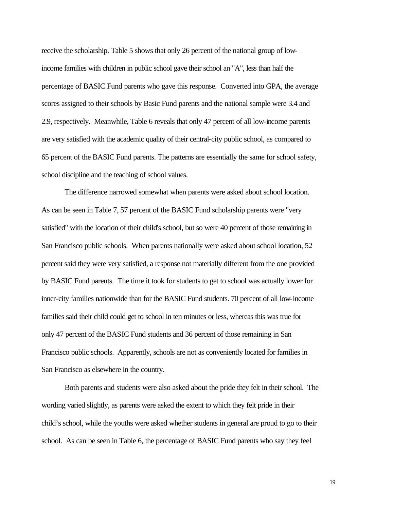receive the scholarship. Table 5 shows that only 26 percent of the national group of lowincome families with children in public school gave their school an "A", less than half the percentage of BASIC Fund parents who gave this response. Converted into GPA, the average scores assigned to their schools by Basic Fund parents and the national sample were 3.4 and 2.9, respectively. Meanwhile, Table 6 reveals that only 47 percent of all low-income parents are very satisfied with the academic quality of their central-city public school, as compared to 65 percent of the BASIC Fund parents. The patterns are essentially the same for school safety, school discipline and the teaching of school values.

The difference narrowed somewhat when parents were asked about school location. As can be seen in Table 7, 57 percent of the BASIC Fund scholarship parents were "very satisfied" with the location of their child's school, but so were 40 percent of those remaining in San Francisco public schools. When parents nationally were asked about school location, 52 percent said they were very satisfied, a response not materially different from the one provided by BASIC Fund parents. The time it took for students to get to school was actually lower for inner-city families nationwide than for the BASIC Fund students. 70 percent of all low-income families said their child could get to school in ten minutes or less, whereas this was true for only 47 percent of the BASIC Fund students and 36 percent of those remaining in San Francisco public schools. Apparently, schools are not as conveniently located for families in San Francisco as elsewhere in the country.

Both parents and students were also asked about the pride they felt in their school. The wording varied slightly, as parents were asked the extent to which they felt pride in their child's school, while the youths were asked whether students in general are proud to go to their school. As can be seen in Table 6, the percentage of BASIC Fund parents who say they feel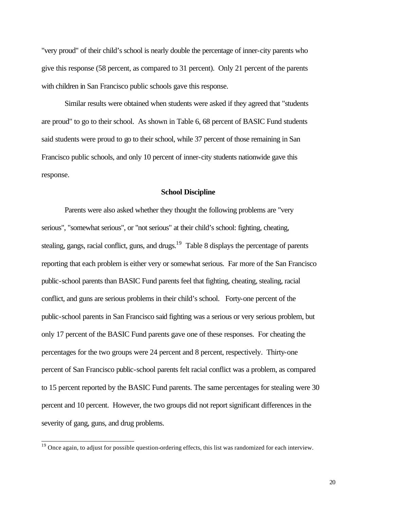"very proud" of their child's school is nearly double the percentage of inner-city parents who give this response (58 percent, as compared to 31 percent). Only 21 percent of the parents with children in San Francisco public schools gave this response.

Similar results were obtained when students were asked if they agreed that "students are proud" to go to their school. As shown in Table 6, 68 percent of BASIC Fund students said students were proud to go to their school, while 37 percent of those remaining in San Francisco public schools, and only 10 percent of inner-city students nationwide gave this response.

#### **School Discipline**

Parents were also asked whether they thought the following problems are "very serious", "somewhat serious", or "not serious" at their child's school: fighting, cheating, stealing, gangs, racial conflict, guns, and drugs. $19$  Table 8 displays the percentage of parents reporting that each problem is either very or somewhat serious. Far more of the San Francisco public-school parents than BASIC Fund parents feel that fighting, cheating, stealing, racial conflict, and guns are serious problems in their child's school. Forty-one percent of the public-school parents in San Francisco said fighting was a serious or very serious problem, but only 17 percent of the BASIC Fund parents gave one of these responses. For cheating the percentages for the two groups were 24 percent and 8 percent, respectively. Thirty-one percent of San Francisco public-school parents felt racial conflict was a problem, as compared to 15 percent reported by the BASIC Fund parents. The same percentages for stealing were 30 percent and 10 percent. However, the two groups did not report significant differences in the severity of gang, guns, and drug problems.

l

<sup>&</sup>lt;sup>19</sup> Once again, to adjust for possible question-ordering effects, this list was randomized for each interview.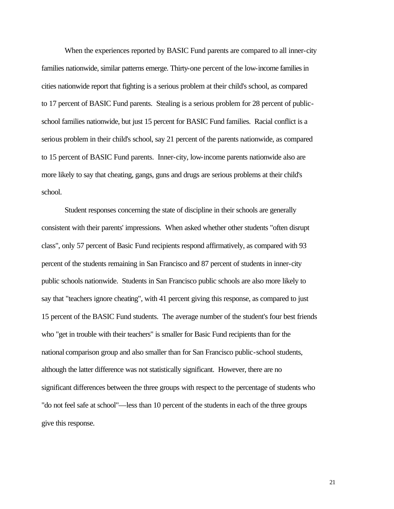When the experiences reported by BASIC Fund parents are compared to all inner-city families nationwide, similar patterns emerge. Thirty-one percent of the low-income families in cities nationwide report that fighting is a serious problem at their child's school, as compared to 17 percent of BASIC Fund parents. Stealing is a serious problem for 28 percent of publicschool families nationwide, but just 15 percent for BASIC Fund families. Racial conflict is a serious problem in their child's school, say 21 percent of the parents nationwide, as compared to 15 percent of BASIC Fund parents. Inner-city, low-income parents nationwide also are more likely to say that cheating, gangs, guns and drugs are serious problems at their child's school.

Student responses concerning the state of discipline in their schools are generally consistent with their parents' impressions. When asked whether other students "often disrupt class", only 57 percent of Basic Fund recipients respond affirmatively, as compared with 93 percent of the students remaining in San Francisco and 87 percent of students in inner-city public schools nationwide. Students in San Francisco public schools are also more likely to say that "teachers ignore cheating", with 41 percent giving this response, as compared to just 15 percent of the BASIC Fund students. The average number of the student's four best friends who "get in trouble with their teachers" is smaller for Basic Fund recipients than for the national comparison group and also smaller than for San Francisco public-school students, although the latter difference was not statistically significant. However, there are no significant differences between the three groups with respect to the percentage of students who "do not feel safe at school"—less than 10 percent of the students in each of the three groups give this response.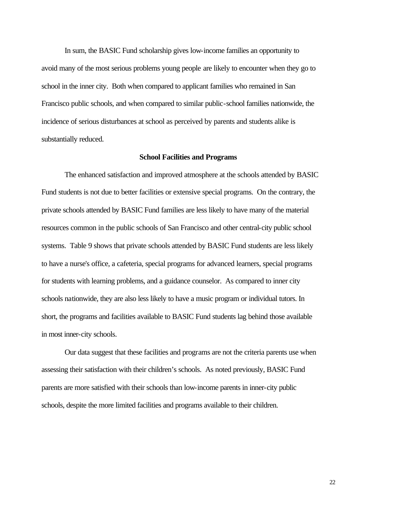In sum, the BASIC Fund scholarship gives low-income families an opportunity to avoid many of the most serious problems young people are likely to encounter when they go to school in the inner city. Both when compared to applicant families who remained in San Francisco public schools, and when compared to similar public-school families nationwide, the incidence of serious disturbances at school as perceived by parents and students alike is substantially reduced.

#### **School Facilities and Programs**

The enhanced satisfaction and improved atmosphere at the schools attended by BASIC Fund students is not due to better facilities or extensive special programs. On the contrary, the private schools attended by BASIC Fund families are less likely to have many of the material resources common in the public schools of San Francisco and other central-city public school systems. Table 9 shows that private schools attended by BASIC Fund students are less likely to have a nurse's office, a cafeteria, special programs for advanced learners, special programs for students with learning problems, and a guidance counselor. As compared to inner city schools nationwide, they are also less likely to have a music program or individual tutors. In short, the programs and facilities available to BASIC Fund students lag behind those available in most inner-city schools.

Our data suggest that these facilities and programs are not the criteria parents use when assessing their satisfaction with their children's schools. As noted previously, BASIC Fund parents are more satisfied with their schools than low-income parents in inner-city public schools, despite the more limited facilities and programs available to their children.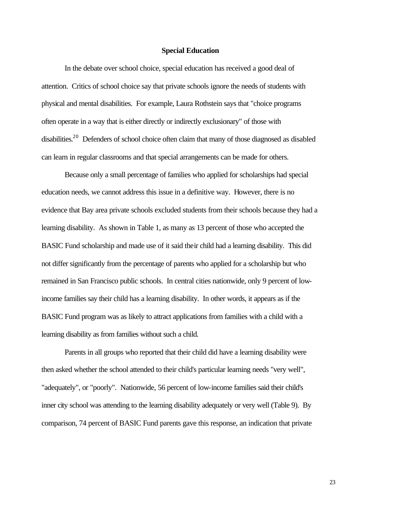#### **Special Education**

In the debate over school choice, special education has received a good deal of attention. Critics of school choice say that private schools ignore the needs of students with physical and mental disabilities. For example, Laura Rothstein says that "choice programs often operate in a way that is either directly or indirectly exclusionary" of those with disabilities.<sup>20</sup> Defenders of school choice often claim that many of those diagnosed as disabled can learn in regular classrooms and that special arrangements can be made for others.

Because only a small percentage of families who applied for scholarships had special education needs, we cannot address this issue in a definitive way. However, there is no evidence that Bay area private schools excluded students from their schools because they had a learning disability. As shown in Table 1, as many as 13 percent of those who accepted the BASIC Fund scholarship and made use of it said their child had a learning disability. This did not differ significantly from the percentage of parents who applied for a scholarship but who remained in San Francisco public schools. In central cities nationwide, only 9 percent of lowincome families say their child has a learning disability. In other words, it appears as if the BASIC Fund program was as likely to attract applications from families with a child with a learning disability as from families without such a child.

Parents in all groups who reported that their child did have a learning disability were then asked whether the school attended to their child's particular learning needs "very well", "adequately", or "poorly". Nationwide, 56 percent of low-income families said their child's inner city school was attending to the learning disability adequately or very well (Table 9). By comparison, 74 percent of BASIC Fund parents gave this response, an indication that private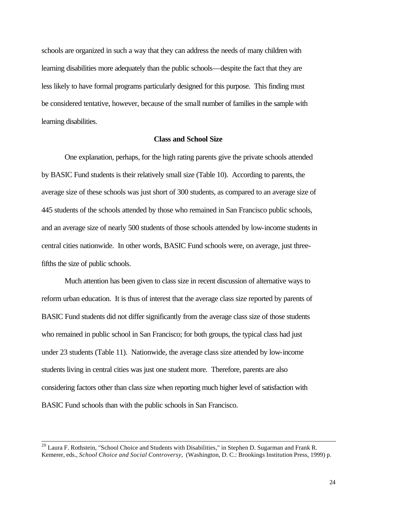schools are organized in such a way that they can address the needs of many children with learning disabilities more adequately than the public schools—despite the fact that they are less likely to have formal programs particularly designed for this purpose. This finding must be considered tentative, however, because of the small number of families in the sample with learning disabilities.

#### **Class and School Size**

One explanation, perhaps, for the high rating parents give the private schools attended by BASIC Fund students is their relatively small size (Table 10). According to parents, the average size of these schools was just short of 300 students, as compared to an average size of 445 students of the schools attended by those who remained in San Francisco public schools, and an average size of nearly 500 students of those schools attended by low-income students in central cities nationwide. In other words, BASIC Fund schools were, on average, just threefifths the size of public schools.

Much attention has been given to class size in recent discussion of alternative ways to reform urban education. It is thus of interest that the average class size reported by parents of BASIC Fund students did not differ significantly from the average class size of those students who remained in public school in San Francisco; for both groups, the typical class had just under 23 students (Table 11). Nationwide, the average class size attended by low-income students living in central cities was just one student more. Therefore, parents are also considering factors other than class size when reporting much higher level of satisfaction with BASIC Fund schools than with the public schools in San Francisco.

<sup>&</sup>lt;sup>20</sup> Laura F. Rothstein, "School Choice and Students with Disabilities," in Stephen D. Sugarman and Frank R. Kemerer, eds., *School Choice and Social Controversy*, (Washington, D. C.: Brookings Institution Press, 1999) p.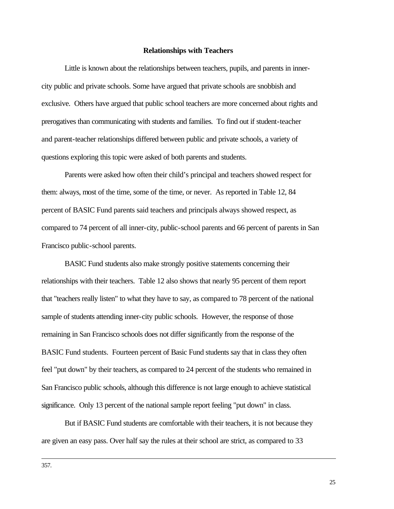#### **Relationships with Teachers**

Little is known about the relationships between teachers, pupils, and parents in innercity public and private schools. Some have argued that private schools are snobbish and exclusive. Others have argued that public school teachers are more concerned about rights and prerogatives than communicating with students and families. To find out if student-teacher and parent-teacher relationships differed between public and private schools, a variety of questions exploring this topic were asked of both parents and students.

Parents were asked how often their child's principal and teachers showed respect for them: always, most of the time, some of the time, or never. As reported in Table 12, 84 percent of BASIC Fund parents said teachers and principals always showed respect, as compared to 74 percent of all inner-city, public-school parents and 66 percent of parents in San Francisco public-school parents.

BASIC Fund students also make strongly positive statements concerning their relationships with their teachers. Table 12 also shows that nearly 95 percent of them report that "teachers really listen" to what they have to say, as compared to 78 percent of the national sample of students attending inner-city public schools. However, the response of those remaining in San Francisco schools does not differ significantly from the response of the BASIC Fund students. Fourteen percent of Basic Fund students say that in class they often feel "put down" by their teachers, as compared to 24 percent of the students who remained in San Francisco public schools, although this difference is not large enough to achieve statistical significance. Only 13 percent of the national sample report feeling "put down" in class.

But if BASIC Fund students are comfortable with their teachers, it is not because they are given an easy pass. Over half say the rules at their school are strict, as compared to 33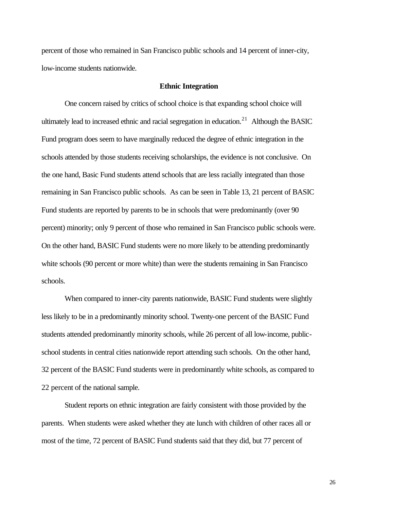percent of those who remained in San Francisco public schools and 14 percent of inner-city, low-income students nationwide.

#### **Ethnic Integration**

One concern raised by critics of school choice is that expanding school choice will ultimately lead to increased ethnic and racial segregation in education.<sup>21</sup> Although the BASIC Fund program does seem to have marginally reduced the degree of ethnic integration in the schools attended by those students receiving scholarships, the evidence is not conclusive. On the one hand, Basic Fund students attend schools that are less racially integrated than those remaining in San Francisco public schools. As can be seen in Table 13, 21 percent of BASIC Fund students are reported by parents to be in schools that were predominantly (over 90 percent) minority; only 9 percent of those who remained in San Francisco public schools were. On the other hand, BASIC Fund students were no more likely to be attending predominantly white schools (90 percent or more white) than were the students remaining in San Francisco schools.

When compared to inner-city parents nationwide, BASIC Fund students were slightly less likely to be in a predominantly minority school. Twenty-one percent of the BASIC Fund students attended predominantly minority schools, while 26 percent of all low-income, publicschool students in central cities nationwide report attending such schools. On the other hand, 32 percent of the BASIC Fund students were in predominantly white schools, as compared to 22 percent of the national sample.

Student reports on ethnic integration are fairly consistent with those provided by the parents. When students were asked whether they ate lunch with children of other races all or most of the time, 72 percent of BASIC Fund students said that they did, but 77 percent of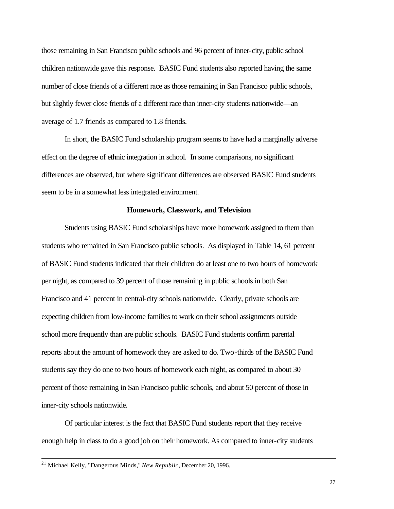those remaining in San Francisco public schools and 96 percent of inner-city, public school children nationwide gave this response. BASIC Fund students also reported having the same number of close friends of a different race as those remaining in San Francisco public schools, but slightly fewer close friends of a different race than inner-city students nationwide—an average of 1.7 friends as compared to 1.8 friends.

In short, the BASIC Fund scholarship program seems to have had a marginally adverse effect on the degree of ethnic integration in school. In some comparisons, no significant differences are observed, but where significant differences are observed BASIC Fund students seem to be in a somewhat less integrated environment.

#### **Homework, Classwork, and Television**

Students using BASIC Fund scholarships have more homework assigned to them than students who remained in San Francisco public schools. As displayed in Table 14, 61 percent of BASIC Fund students indicated that their children do at least one to two hours of homework per night, as compared to 39 percent of those remaining in public schools in both San Francisco and 41 percent in central-city schools nationwide. Clearly, private schools are expecting children from low-income families to work on their school assignments outside school more frequently than are public schools. BASIC Fund students confirm parental reports about the amount of homework they are asked to do. Two-thirds of the BASIC Fund students say they do one to two hours of homework each night, as compared to about 30 percent of those remaining in San Francisco public schools, and about 50 percent of those in inner-city schools nationwide.

Of particular interest is the fact that BASIC Fund students report that they receive enough help in class to do a good job on their homework. As compared to inner-city students

<sup>21</sup> Michael Kelly, "Dangerous Minds," *New Republic*, December 20, 1996.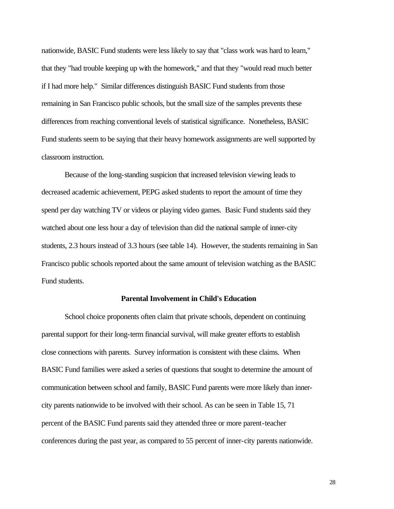nationwide, BASIC Fund students were less likely to say that "class work was hard to learn," that they "had trouble keeping up with the homework," and that they "would read much better if I had more help." Similar differences distinguish BASIC Fund students from those remaining in San Francisco public schools, but the small size of the samples prevents these differences from reaching conventional levels of statistical significance. Nonetheless, BASIC Fund students seem to be saying that their heavy homework assignments are well supported by classroom instruction.

Because of the long-standing suspicion that increased television viewing leads to decreased academic achievement, PEPG asked students to report the amount of time they spend per day watching TV or videos or playing video games. Basic Fund students said they watched about one less hour a day of television than did the national sample of inner-city students, 2.3 hours instead of 3.3 hours (see table 14). However, the students remaining in San Francisco public schools reported about the same amount of television watching as the BASIC Fund students.

#### **Parental Involvement in Child's Education**

School choice proponents often claim that private schools, dependent on continuing parental support for their long-term financial survival, will make greater efforts to establish close connections with parents. Survey information is consistent with these claims. When BASIC Fund families were asked a series of questions that sought to determine the amount of communication between school and family, BASIC Fund parents were more likely than innercity parents nationwide to be involved with their school. As can be seen in Table 15, 71 percent of the BASIC Fund parents said they attended three or more parent-teacher conferences during the past year, as compared to 55 percent of inner-city parents nationwide.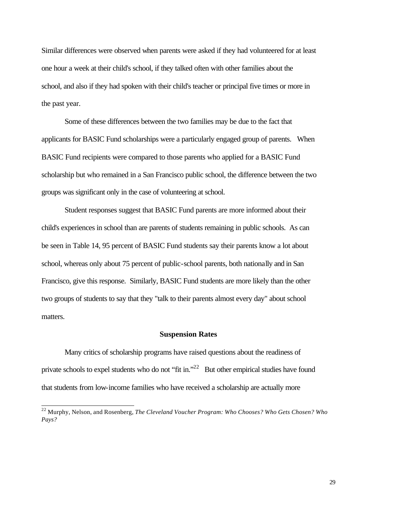Similar differences were observed when parents were asked if they had volunteered for at least one hour a week at their child's school, if they talked often with other families about the school, and also if they had spoken with their child's teacher or principal five times or more in the past year.

Some of these differences between the two families may be due to the fact that applicants for BASIC Fund scholarships were a particularly engaged group of parents. When BASIC Fund recipients were compared to those parents who applied for a BASIC Fund scholarship but who remained in a San Francisco public school, the difference between the two groups was significant only in the case of volunteering at school.

Student responses suggest that BASIC Fund parents are more informed about their child's experiences in school than are parents of students remaining in public schools. As can be seen in Table 14, 95 percent of BASIC Fund students say their parents know a lot about school, whereas only about 75 percent of public-school parents, both nationally and in San Francisco, give this response. Similarly, BASIC Fund students are more likely than the other two groups of students to say that they "talk to their parents almost every day" about school matters.

#### **Suspension Rates**

Many critics of scholarship programs have raised questions about the readiness of private schools to expel students who do not "fit in."<sup>22</sup> But other empirical studies have found that students from low-income families who have received a scholarship are actually more

<sup>22</sup> Murphy, Nelson, and Rosenberg, *The Cleveland Voucher Program: Who Chooses? Who Gets Chosen? Who Pays?*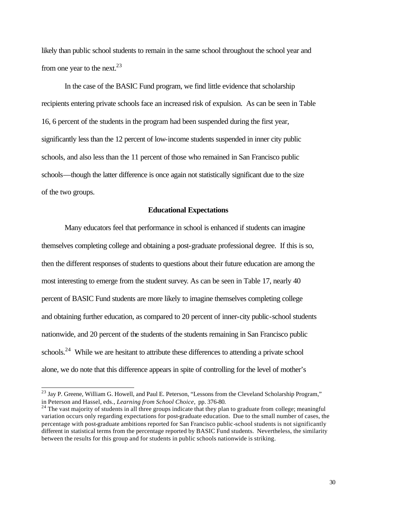likely than public school students to remain in the same school throughout the school year and from one year to the next.<sup>23</sup>

In the case of the BASIC Fund program, we find little evidence that scholarship recipients entering private schools face an increased risk of expulsion. As can be seen in Table 16, 6 percent of the students in the program had been suspended during the first year, significantly less than the 12 percent of low-income students suspended in inner city public schools, and also less than the 11 percent of those who remained in San Francisco public schools—though the latter difference is once again not statistically significant due to the size of the two groups.

#### **Educational Expectations**

Many educators feel that performance in school is enhanced if students can imagine themselves completing college and obtaining a post-graduate professional degree. If this is so, then the different responses of students to questions about their future education are among the most interesting to emerge from the student survey. As can be seen in Table 17, nearly 40 percent of BASIC Fund students are more likely to imagine themselves completing college and obtaining further education, as compared to 20 percent of inner-city public-school students nationwide, and 20 percent of the students of the students remaining in San Francisco public schools.<sup>24</sup> While we are hesitant to attribute these differences to attending a private school alone, we do note that this difference appears in spite of controlling for the level of mother's

<sup>&</sup>lt;sup>23</sup> Jay P. Greene, William G. Howell, and Paul E. Peterson, "Lessons from the Cleveland Scholarship Program," in Peterson and Hassel, eds., *Learning from School Choice*, pp. 376-80.

<sup>&</sup>lt;sup>24</sup> The vast majority of students in all three groups indicate that they plan to graduate from college; meaningful variation occurs only regarding expectations for post-graduate education. Due to the small number of cases, the percentage with post-graduate ambitions reported for San Francisco public-school students is not significantly different in statistical terms from the percentage reported by BASIC Fund students. Nevertheless, the similarity between the results for this group and for students in public schools nationwide is striking.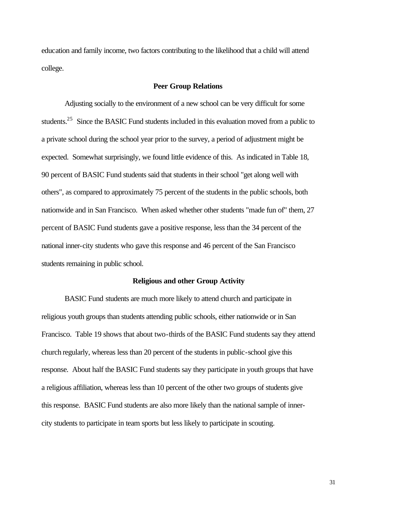education and family income, two factors contributing to the likelihood that a child will attend college.

#### **Peer Group Relations**

Adjusting socially to the environment of a new school can be very difficult for some students.<sup>25</sup> Since the BASIC Fund students included in this evaluation moved from a public to a private school during the school year prior to the survey, a period of adjustment might be expected. Somewhat surprisingly, we found little evidence of this. As indicated in Table 18, 90 percent of BASIC Fund students said that students in their school "get along well with others", as compared to approximately 75 percent of the students in the public schools, both nationwide and in San Francisco. When asked whether other students "made fun of" them, 27 percent of BASIC Fund students gave a positive response, less than the 34 percent of the national inner-city students who gave this response and 46 percent of the San Francisco students remaining in public school.

#### **Religious and other Group Activity**

BASIC Fund students are much more likely to attend church and participate in religious youth groups than students attending public schools, either nationwide or in San Francisco. Table 19 shows that about two-thirds of the BASIC Fund students say they attend church regularly, whereas less than 20 percent of the students in public-school give this response. About half the BASIC Fund students say they participate in youth groups that have a religious affiliation, whereas less than 10 percent of the other two groups of students give this response. BASIC Fund students are also more likely than the national sample of innercity students to participate in team sports but less likely to participate in scouting.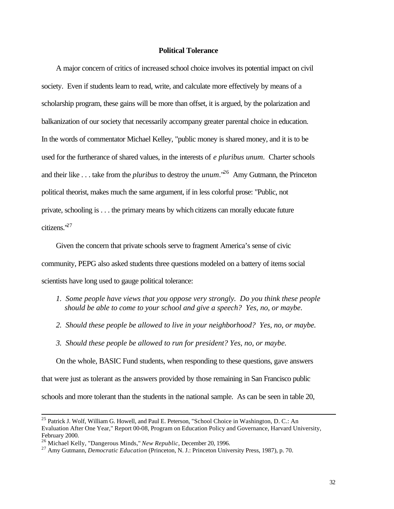#### **Political Tolerance**

A major concern of critics of increased school choice involves its potential impact on civil society. Even if students learn to read, write, and calculate more effectively by means of a scholarship program, these gains will be more than offset, it is argued, by the polarization and balkanization of our society that necessarily accompany greater parental choice in education. In the words of commentator Michael Kelley, "public money is shared money, and it is to be used for the furtherance of shared values, in the interests of *e pluribus unum*. Charter schools and their like . . . take from the *pluribus* to destroy the *unum*."<sup>26</sup> Amy Gutmann, the Princeton political theorist, makes much the same argument, if in less colorful prose: "Public, not private, schooling is . . . the primary means by which citizens can morally educate future citizens."<sup>27</sup>

Given the concern that private schools serve to fragment America's sense of civic community, PEPG also asked students three questions modeled on a battery of items social scientists have long used to gauge political tolerance:

- *1. Some people have views that you oppose very strongly. Do you think these people should be able to come to your school and give a speech? Yes, no, or maybe.*
- *2. Should these people be allowed to live in your neighborhood? Yes, no, or maybe.*
- *3. Should these people be allowed to run for president? Yes, no, or maybe.*

On the whole, BASIC Fund students, when responding to these questions, gave answers that were just as tolerant as the answers provided by those remaining in San Francisco public schools and more tolerant than the students in the national sample. As can be seen in table 20,

<sup>&</sup>lt;sup>25</sup> Patrick J. Wolf, William G. Howell, and Paul E. Peterson, "School Choice in Washington, D. C.: An Evaluation After One Year," Report 00-08, Program on Education Policy and Governance, Harvard University, February 2000.

<sup>26</sup> Michael Kelly, "Dangerous Minds," *New Republic,* December 20, 1996.

<sup>&</sup>lt;sup>27</sup> Amy Gutmann, *Democratic Education* (Princeton, N. J.: Princeton University Press, 1987), p. 70.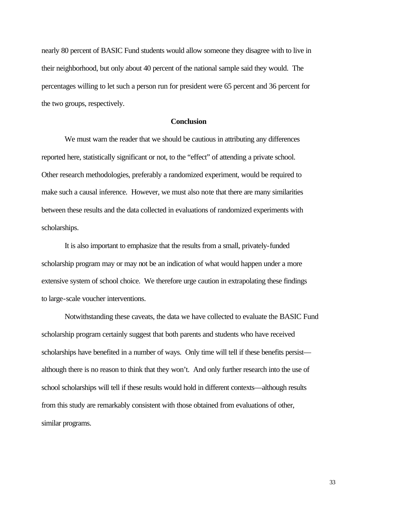nearly 80 percent of BASIC Fund students would allow someone they disagree with to live in their neighborhood, but only about 40 percent of the national sample said they would. The percentages willing to let such a person run for president were 65 percent and 36 percent for the two groups, respectively.

#### **Conclusion**

We must warn the reader that we should be cautious in attributing any differences reported here, statistically significant or not, to the "effect" of attending a private school. Other research methodologies, preferably a randomized experiment, would be required to make such a causal inference. However, we must also note that there are many similarities between these results and the data collected in evaluations of randomized experiments with scholarships.

It is also important to emphasize that the results from a small, privately-funded scholarship program may or may not be an indication of what would happen under a more extensive system of school choice. We therefore urge caution in extrapolating these findings to large-scale voucher interventions.

Notwithstanding these caveats, the data we have collected to evaluate the BASIC Fund scholarship program certainly suggest that both parents and students who have received scholarships have benefited in a number of ways. Only time will tell if these benefits persist although there is no reason to think that they won't. And only further research into the use of school scholarships will tell if these results would hold in different contexts—although results from this study are remarkably consistent with those obtained from evaluations of other, similar programs.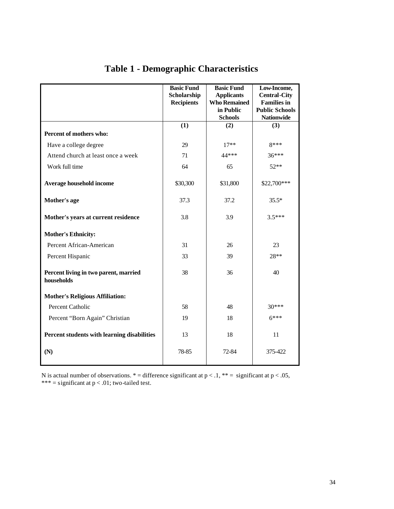|                                                     | <b>Basic Fund</b><br>Scholarship<br><b>Recipients</b> | <b>Basic Fund</b><br><b>Applicants</b><br><b>Who Remained</b> | Low-Income,<br><b>Central-City</b><br><b>Families in</b> |
|-----------------------------------------------------|-------------------------------------------------------|---------------------------------------------------------------|----------------------------------------------------------|
|                                                     |                                                       | in Public<br><b>Schools</b>                                   | <b>Public Schools</b><br><b>Nationwide</b>               |
|                                                     | (1)                                                   | (2)                                                           | (3)                                                      |
| Percent of mothers who:                             |                                                       |                                                               |                                                          |
| Have a college degree                               | 29                                                    | $17**$                                                        | 8***                                                     |
| Attend church at least once a week                  | 71                                                    | 44 ***                                                        | $36***$                                                  |
| Work full time                                      | 64                                                    | 65                                                            | $52**$                                                   |
| Average household income                            | \$30,300                                              | \$31,800                                                      | \$22,700***                                              |
| Mother's age                                        | 37.3                                                  | 37.2                                                          | $35.5*$                                                  |
| Mother's years at current residence                 | 3.8                                                   | 3.9                                                           | $3.5***$                                                 |
| <b>Mother's Ethnicity:</b>                          |                                                       |                                                               |                                                          |
| Percent African-American                            | 31                                                    | 26                                                            | 23                                                       |
| Percent Hispanic                                    | 33                                                    | 39                                                            | 28**                                                     |
| Percent living in two parent, married<br>households | 38                                                    | 36                                                            | 40                                                       |
| <b>Mother's Religious Affiliation:</b>              |                                                       |                                                               |                                                          |
| Percent Catholic                                    | 58                                                    | 48                                                            | $30***$                                                  |
| Percent "Born Again" Christian                      | 19                                                    | 18                                                            | $6***$                                                   |
| Percent students with learning disabilities         | 13                                                    | 18                                                            | 11                                                       |
| (N)                                                 | 78-85                                                 | 72-84                                                         | 375-422                                                  |

# **Table 1 - Demographic Characteristics**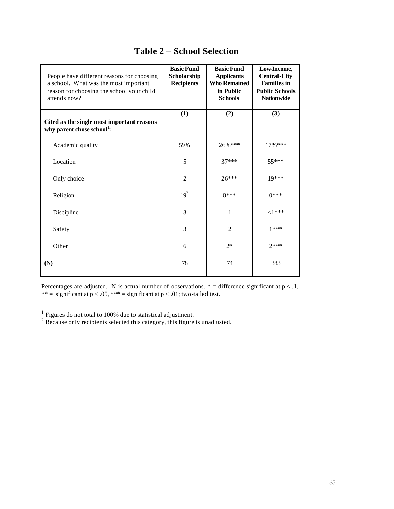| People have different reasons for choosing<br>a school. What was the most important<br>reason for choosing the school your child<br>attends now? | <b>Basic Fund</b><br>Scholarship<br><b>Recipients</b> | <b>Basic Fund</b><br><b>Applicants</b><br><b>Who Remained</b><br>in Public<br><b>Schools</b> | Low-Income,<br><b>Central-City</b><br><b>Families in</b><br><b>Public Schools</b><br><b>Nationwide</b> |
|--------------------------------------------------------------------------------------------------------------------------------------------------|-------------------------------------------------------|----------------------------------------------------------------------------------------------|--------------------------------------------------------------------------------------------------------|
| Cited as the single most important reasons<br>why parent chose school <sup>1</sup> :                                                             | (1)                                                   | (2)                                                                                          | (3)                                                                                                    |
| Academic quality                                                                                                                                 | 59%                                                   | 26%***                                                                                       | $17\%$ ***                                                                                             |
| Location                                                                                                                                         | 5                                                     | $37***$                                                                                      | 55***                                                                                                  |
| Only choice                                                                                                                                      | $\overline{2}$                                        | $26***$                                                                                      | 19***                                                                                                  |
| Religion                                                                                                                                         | $19^{2}$                                              | $0***$                                                                                       | $0***$                                                                                                 |
| Discipline                                                                                                                                       | 3                                                     | 1                                                                                            | $<$ 1***                                                                                               |
| Safety                                                                                                                                           | 3                                                     | $\overline{2}$                                                                               | $1***$                                                                                                 |
| Other                                                                                                                                            | 6                                                     | $2*$                                                                                         | $7***$                                                                                                 |
| (N)                                                                                                                                              | 78                                                    | 74                                                                                           | 383                                                                                                    |

### **Table 2 – School Selection**

<sup>&</sup>lt;sup>1</sup> Figures do not total to 100% due to statistical adjustment.<br><sup>2</sup> Because only recipients selected this category, this figure is unadjusted.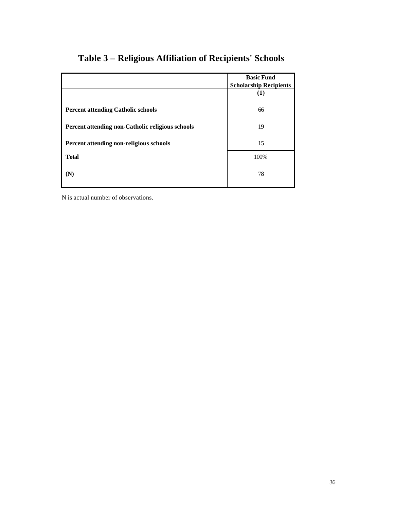|                                                  | <b>Basic Fund</b><br><b>Scholarship Recipients</b> |
|--------------------------------------------------|----------------------------------------------------|
|                                                  | (1)                                                |
| <b>Percent attending Catholic schools</b>        | 66                                                 |
| Percent attending non-Catholic religious schools | 19                                                 |
| Percent attending non-religious schools          | 15                                                 |
| <b>Total</b>                                     | 100%                                               |
| (N)                                              | 78                                                 |

# **Table 3 – Religious Affiliation of Recipients' Schools**

N is actual number of observations.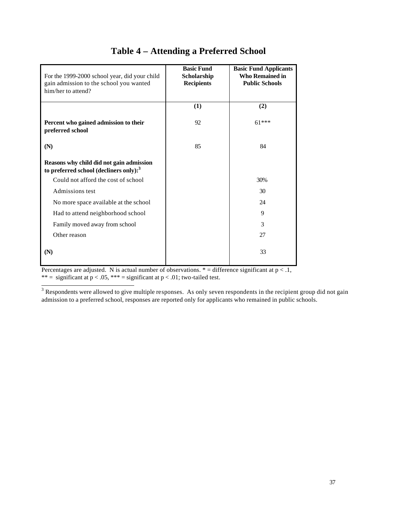| For the 1999-2000 school year, did your child<br>gain admission to the school you wanted<br>him/her to attend? | <b>Basic Fund</b><br>Scholarship<br><b>Recipients</b> | <b>Basic Fund Applicants</b><br><b>Who Remained in</b><br><b>Public Schools</b> |
|----------------------------------------------------------------------------------------------------------------|-------------------------------------------------------|---------------------------------------------------------------------------------|
|                                                                                                                | (1)                                                   | (2)                                                                             |
| Percent who gained admission to their<br>preferred school                                                      | 92                                                    | $61***$                                                                         |
| (N)                                                                                                            | 85                                                    | 84                                                                              |
| Reasons why child did not gain admission<br>to preferred school (decliners only): <sup>3</sup>                 |                                                       |                                                                                 |
| Could not afford the cost of school                                                                            |                                                       | 30%                                                                             |
| Admissions test                                                                                                |                                                       | 30                                                                              |
| No more space available at the school                                                                          |                                                       | 24                                                                              |
| Had to attend neighborhood school                                                                              |                                                       | 9                                                                               |
| Family moved away from school                                                                                  |                                                       | 3                                                                               |
| Other reason                                                                                                   |                                                       | 27                                                                              |
| (N)                                                                                                            |                                                       | 33                                                                              |

# **Table 4 – Attending a Preferred School**

Percentages are adjusted. N is actual number of observations.  $*$  = difference significant at  $p < 0.1$ , \*\* = significant at  $p < .05$ , \*\*\* = significant at  $p < .01$ ; two-tailed test.

<sup>3</sup> Respondents were allowed to give multiple responses. As only seven respondents in the recipient group did not gain admission to a preferred school, responses are reported only for applicants who remained in public schools.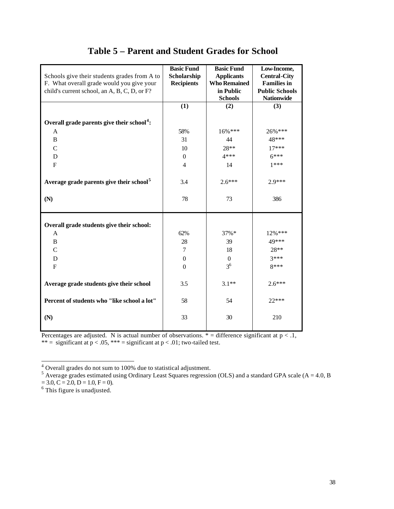| Schools give their students grades from A to<br>F. What overall grade would you give your<br>child's current school, an A, B, C, D, or F? | <b>Basic Fund</b><br>Scholarship<br><b>Recipients</b> | <b>Basic Fund</b><br><b>Applicants</b><br><b>Who Remained</b><br>in Public | Low-Income,<br><b>Central-City</b><br><b>Families</b> in<br><b>Public Schools</b> |
|-------------------------------------------------------------------------------------------------------------------------------------------|-------------------------------------------------------|----------------------------------------------------------------------------|-----------------------------------------------------------------------------------|
|                                                                                                                                           |                                                       | <b>Schools</b>                                                             | <b>Nationwide</b>                                                                 |
|                                                                                                                                           | (1)                                                   | (2)                                                                        | (3)                                                                               |
| Overall grade parents give their school <sup>4</sup> :                                                                                    |                                                       |                                                                            |                                                                                   |
| A                                                                                                                                         | 58%                                                   | 16%***                                                                     | 26%***                                                                            |
| B                                                                                                                                         | 31                                                    | 44                                                                         | 48***                                                                             |
| $\overline{C}$                                                                                                                            | 10                                                    | 28**                                                                       | $17***$                                                                           |
| D                                                                                                                                         | $\boldsymbol{0}$                                      | $4***$                                                                     | $6***$                                                                            |
| $\mathbf{F}$                                                                                                                              | $\overline{4}$                                        | 14                                                                         | $1***$                                                                            |
| Average grade parents give their school <sup>5</sup>                                                                                      | 3.4                                                   | $2.6***$                                                                   | 2.9***                                                                            |
| (N)                                                                                                                                       | 78                                                    | 73                                                                         | 386                                                                               |
| Overall grade students give their school:                                                                                                 |                                                       |                                                                            |                                                                                   |
| A                                                                                                                                         | 62%                                                   | $37\%*$                                                                    | $12\%$ ***                                                                        |
| B                                                                                                                                         | 28                                                    | 39                                                                         | 49***                                                                             |
| $\mathsf{C}$                                                                                                                              | $\tau$                                                | 18                                                                         | 28**                                                                              |
| D                                                                                                                                         | $\theta$                                              | $\Omega$                                                                   | $3***$                                                                            |
| F                                                                                                                                         | $\theta$                                              | 3 <sup>6</sup>                                                             | 8***                                                                              |
| Average grade students give their school                                                                                                  | 3.5                                                   | $3.1**$                                                                    | $2.6***$                                                                          |
| Percent of students who "like school a lot"                                                                                               | 58                                                    | 54                                                                         | $22***$                                                                           |
| (N)                                                                                                                                       | 33                                                    | 30                                                                         | 210                                                                               |

### **Table 5 – Parent and Student Grades for School**

Percentages are adjusted. N is actual number of observations.  $*$  = difference significant at  $p < .1$ , \*\* = significant at  $p < .05$ , \*\*\* = significant at  $p < .01$ ; two-tailed test.

 $= 3.0, C = 2.0, D = 1.0, F = 0.$ <br>
<sup>6</sup> This figure is unadjusted.

<sup>&</sup>lt;sup>4</sup> Overall grades do not sum to 100% due to statistical adjustment.<br><sup>5</sup> Average grades estimated using Ordinary Least Squares regression (OLS) and a standard GPA scale (A = 4.0, B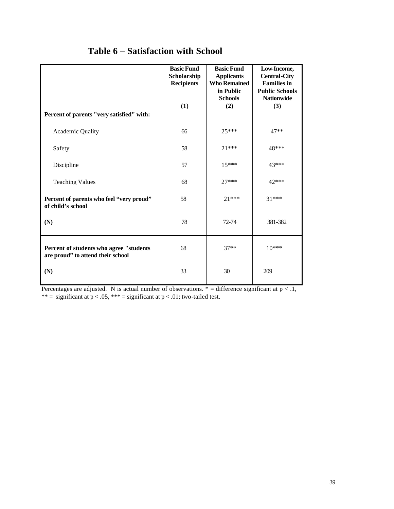|                                                                              | <b>Basic Fund</b><br>Scholarship<br><b>Recipients</b> | <b>Basic Fund</b><br><b>Applicants</b><br><b>Who Remained</b><br>in Public<br><b>Schools</b> | Low-Income,<br><b>Central-City</b><br><b>Families</b> in<br><b>Public Schools</b><br><b>Nationwide</b> |
|------------------------------------------------------------------------------|-------------------------------------------------------|----------------------------------------------------------------------------------------------|--------------------------------------------------------------------------------------------------------|
| Percent of parents "very satisfied" with:                                    | (1)                                                   | (2)                                                                                          | (3)                                                                                                    |
| Academic Quality                                                             | 66                                                    | $25***$                                                                                      | $47**$                                                                                                 |
| Safety                                                                       | 58                                                    | $21***$                                                                                      | 48***                                                                                                  |
| Discipline                                                                   | 57                                                    | $15***$                                                                                      | 43***                                                                                                  |
| <b>Teaching Values</b>                                                       | 68                                                    | $27***$                                                                                      | 42***                                                                                                  |
| Percent of parents who feel "very proud"<br>of child's school                | 58                                                    | $21***$                                                                                      | $31***$                                                                                                |
| (N)                                                                          | 78                                                    | 72-74                                                                                        | 381-382                                                                                                |
| Percent of students who agree "students<br>are proud" to attend their school | 68                                                    | $37**$                                                                                       | $10***$                                                                                                |
| (N)                                                                          | 33                                                    | 30                                                                                           | 209                                                                                                    |

# **Table 6 – Satisfaction with School**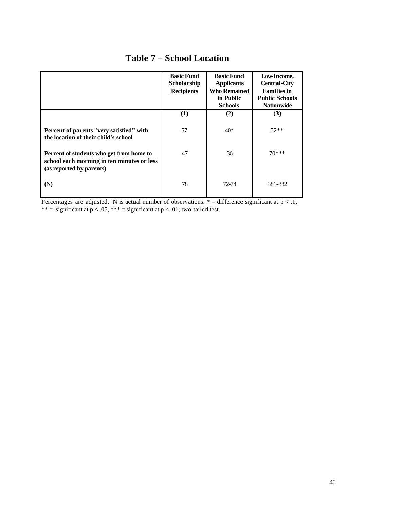|                                                                                                                    | <b>Basic Fund</b><br>Scholarship<br><b>Recipients</b> | <b>Basic Fund</b><br><b>Applicants</b><br><b>Who Remained</b><br>in Public<br><b>Schools</b> | Low-Income,<br><b>Central-City</b><br><b>Families in</b><br><b>Public Schools</b><br><b>Nationwide</b> |
|--------------------------------------------------------------------------------------------------------------------|-------------------------------------------------------|----------------------------------------------------------------------------------------------|--------------------------------------------------------------------------------------------------------|
|                                                                                                                    | (1)                                                   | (2)                                                                                          | (3)                                                                                                    |
| Percent of parents "very satisfied" with<br>the location of their child's school                                   | 57                                                    | $40*$                                                                                        | $52**$                                                                                                 |
| Percent of students who get from home to<br>school each morning in ten minutes or less<br>(as reported by parents) | 47                                                    | 36                                                                                           | $70***$                                                                                                |
| (N)                                                                                                                | 78                                                    | 72-74                                                                                        | 381-382                                                                                                |

## **Table 7 – School Location**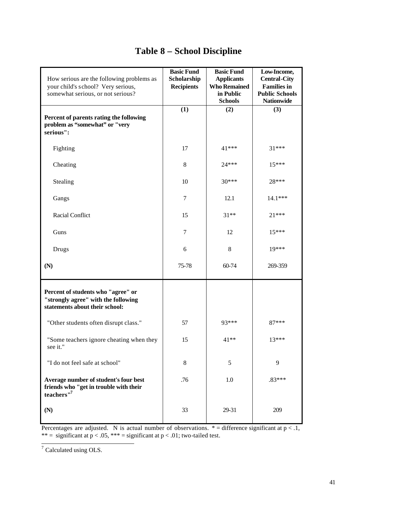| How serious are the following problems as<br>your child's school? Very serious,<br>somewhat serious, or not serious? | <b>Basic Fund</b><br>Scholarship<br><b>Recipients</b> | <b>Basic Fund</b><br><b>Applicants</b><br><b>Who Remained</b><br>in Public<br><b>Schools</b> | Low-Income,<br><b>Central-City</b><br><b>Families in</b><br><b>Public Schools</b><br><b>Nationwide</b> |
|----------------------------------------------------------------------------------------------------------------------|-------------------------------------------------------|----------------------------------------------------------------------------------------------|--------------------------------------------------------------------------------------------------------|
| Percent of parents rating the following<br>problem as "somewhat" or "very<br>serious":                               | (1)                                                   | (2)                                                                                          | (3)                                                                                                    |
| Fighting                                                                                                             | 17                                                    | 41***                                                                                        | $31***$                                                                                                |
| Cheating                                                                                                             | 8                                                     | $24***$                                                                                      | $15***$                                                                                                |
| Stealing                                                                                                             | 10                                                    | $30***$                                                                                      | 28***                                                                                                  |
| Gangs                                                                                                                | $\tau$                                                | 12.1                                                                                         | $14.1***$                                                                                              |
| Racial Conflict                                                                                                      | 15                                                    | $31**$                                                                                       | $21***$                                                                                                |
| Guns                                                                                                                 | 7                                                     | 12                                                                                           | $15***$                                                                                                |
| Drugs                                                                                                                | 6                                                     | 8                                                                                            | 19***                                                                                                  |
| (N)                                                                                                                  | 75-78                                                 | 60-74                                                                                        | 269-359                                                                                                |
| Percent of students who "agree" or<br>"strongly agree" with the following<br>statements about their school:          |                                                       |                                                                                              |                                                                                                        |
| "Other students often disrupt class."                                                                                | 57                                                    | 93***                                                                                        | 87***                                                                                                  |
| "Some teachers ignore cheating when they<br>see it."                                                                 | 15                                                    | $41**$                                                                                       | $13***$                                                                                                |
| "I do not feel safe at school"                                                                                       | 8                                                     | 5                                                                                            | 9                                                                                                      |
| Average number of student's four best<br>friends who "get in trouble with their<br>teachers"7                        | .76                                                   | 1.0                                                                                          | $.83***$                                                                                               |
| (N)                                                                                                                  | 33                                                    | 29-31                                                                                        | 209                                                                                                    |

# **Table 8 – School Discipline**

 7 Calculated using OLS.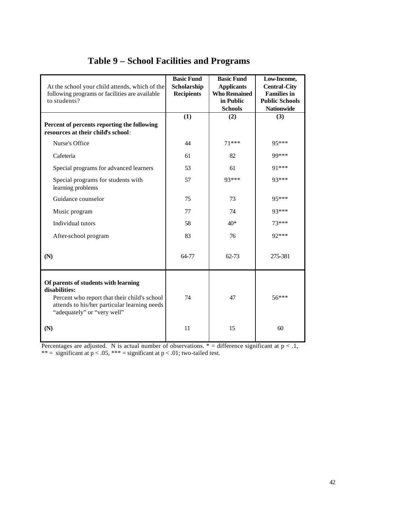| At the school your child attends, which of the<br>following programs or facilities are available<br>to students?                                                                     | <b>Basic Fund</b><br>Scholarship<br><b>Recipients</b> | <b>Basic Fund</b><br><b>Applicants</b><br><b>Who Remained</b><br>in Public<br><b>Schools</b> | Low-Income,<br><b>Central-City</b><br><b>Families in</b><br><b>Public Schools</b><br><b>Nationwide</b> |
|--------------------------------------------------------------------------------------------------------------------------------------------------------------------------------------|-------------------------------------------------------|----------------------------------------------------------------------------------------------|--------------------------------------------------------------------------------------------------------|
| Percent of percents reporting the following<br>resources at their child's school:                                                                                                    | (1)                                                   | (2)                                                                                          | (3)                                                                                                    |
| Nurse's Office                                                                                                                                                                       | 44                                                    | $71***$                                                                                      | 95***                                                                                                  |
| Cafeteria                                                                                                                                                                            | 61                                                    | 82                                                                                           | 99***                                                                                                  |
| Special programs for advanced learners                                                                                                                                               | 53                                                    | 61                                                                                           | 91 ***                                                                                                 |
| Special programs for students with<br>learning problems                                                                                                                              | 57                                                    | 93***                                                                                        | 93***                                                                                                  |
| Guidance counselor                                                                                                                                                                   | 75                                                    | 73                                                                                           | 95***                                                                                                  |
| Music program                                                                                                                                                                        | 77                                                    | 74                                                                                           | 93***                                                                                                  |
| Individual tutors                                                                                                                                                                    | 58                                                    | $40*$                                                                                        | $73***$                                                                                                |
| After-school program                                                                                                                                                                 | 83                                                    | 76                                                                                           | 92***                                                                                                  |
| (N)                                                                                                                                                                                  | 64-77                                                 | $62 - 73$                                                                                    | 275-381                                                                                                |
| Of parents of students with learning<br>disabilities:<br>Percent who report that their child's school<br>attends to his/her particular learning needs<br>"adequately" or "very well" | 74                                                    | 47                                                                                           | $56***$                                                                                                |
| (N)                                                                                                                                                                                  | 11                                                    | 15                                                                                           | 60                                                                                                     |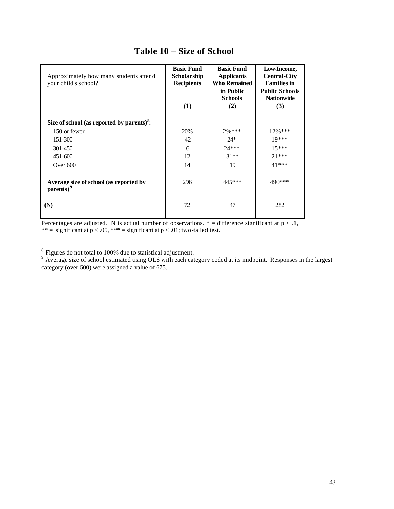| Approximately how many students attend<br>your child's school?  | <b>Basic Fund</b><br>Scholarship<br><b>Recipients</b> | <b>Basic Fund</b><br><b>Applicants</b><br><b>Who Remained</b><br>in Public<br><b>Schools</b> | Low-Income,<br><b>Central-City</b><br><b>Families in</b><br><b>Public Schools</b><br><b>Nationwide</b> |
|-----------------------------------------------------------------|-------------------------------------------------------|----------------------------------------------------------------------------------------------|--------------------------------------------------------------------------------------------------------|
|                                                                 | (1)                                                   | (2)                                                                                          | (3)                                                                                                    |
| Size of school (as reported by parents) $8$ :                   |                                                       |                                                                                              |                                                                                                        |
| 150 or fewer                                                    | 20%                                                   | 2%***                                                                                        | $12\%$ ***                                                                                             |
| 151-300                                                         | 42                                                    | $24*$                                                                                        | $19***$                                                                                                |
| 301-450                                                         | 6                                                     | $24***$                                                                                      | $15***$                                                                                                |
| 451-600                                                         | 12                                                    | $31**$                                                                                       | $21***$                                                                                                |
| Over $600$                                                      | 14                                                    | 19                                                                                           | 41 ***                                                                                                 |
| Average size of school (as reported by<br>parents) <sup>9</sup> | 296                                                   | 445***                                                                                       | 490***                                                                                                 |
| (N)                                                             | 72                                                    | 47                                                                                           | 282                                                                                                    |

### **Table 10 – Size of School**

<sup>&</sup>lt;sup>8</sup><br><sup>8</sup> Figures do not total to 100% due to statistical adjustment.<br><sup>9</sup> Average size of school estimated using OLS with each category coded at its midpoint. Responses in the largest category (over 600) were assigned a value of 675.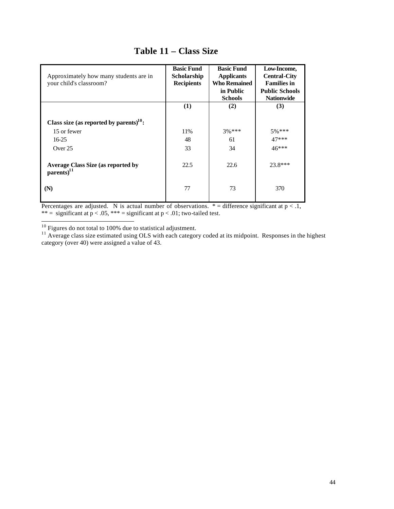| Approximately how many students are in<br>your child's classroom?   | <b>Basic Fund</b><br>Scholarship<br><b>Recipients</b> | <b>Basic Fund</b><br><b>Applicants</b><br><b>Who Remained</b><br>in Public<br><b>Schools</b> | Low-Income,<br><b>Central-City</b><br><b>Families in</b><br><b>Public Schools</b><br><b>Nationwide</b> |
|---------------------------------------------------------------------|-------------------------------------------------------|----------------------------------------------------------------------------------------------|--------------------------------------------------------------------------------------------------------|
|                                                                     | (1)                                                   | (2)                                                                                          | (3)                                                                                                    |
| Class size (as reported by parents) <sup>10</sup> :                 |                                                       |                                                                                              |                                                                                                        |
| 15 or fewer                                                         | 11%                                                   | $3\%***$                                                                                     | $5\%***$                                                                                               |
| $16-25$                                                             | 48                                                    | 61                                                                                           | $47***$                                                                                                |
| Over $25$                                                           | 33                                                    | 34                                                                                           | $46***$                                                                                                |
| <b>Average Class Size (as reported by</b><br>parents) <sup>11</sup> | 22.5                                                  | 22.6                                                                                         | $23.8***$                                                                                              |
| (N)                                                                 | 77                                                    | 73                                                                                           | 370                                                                                                    |

# **Table 11 – Class Size**

Percentages are adjusted. N is actual number of observations.  $* =$  difference significant at  $p < 0.1$ , \*\* = significant at  $p < .05$ , \*\*\* = significant at  $p < .01$ ; two-tailed test.

 $10$  Figures do not total to 100% due to statistical adjustment.

 $11$  Average class size estimated using OLS with each category coded at its midpoint. Responses in the highest category (over 40) were assigned a value of 43.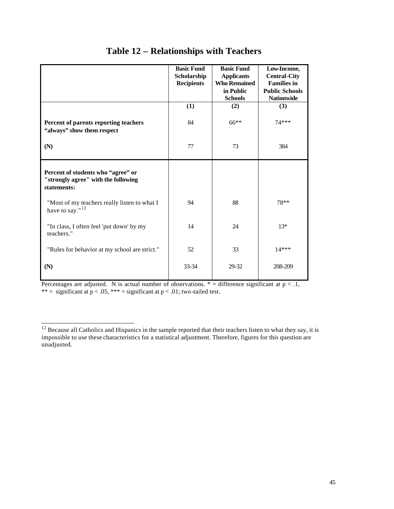|                                                                                          | <b>Basic Fund</b><br>Scholarship<br><b>Recipients</b> | <b>Basic Fund</b><br><b>Applicants</b><br><b>Who Remained</b><br>in Public<br><b>Schools</b> | Low-Income,<br><b>Central-City</b><br><b>Families in</b><br><b>Public Schools</b><br><b>Nationwide</b> |
|------------------------------------------------------------------------------------------|-------------------------------------------------------|----------------------------------------------------------------------------------------------|--------------------------------------------------------------------------------------------------------|
|                                                                                          | (1)                                                   | (2)                                                                                          | (3)                                                                                                    |
| Percent of parents reporting teachers<br>"always" show them respect                      | 84                                                    | 66**                                                                                         | 74 ***                                                                                                 |
| (N)                                                                                      | 77                                                    | 73                                                                                           | 384                                                                                                    |
| Percent of students who "agree" or<br>"strongly agree" with the following<br>statements: |                                                       |                                                                                              |                                                                                                        |
| "Most of my teachers really listen to what I<br>have to say." $12$                       | 94                                                    | 88                                                                                           | 78**                                                                                                   |
| "In class, I often feel 'put down' by my<br>teachers."                                   | 14                                                    | 24                                                                                           | $13*$                                                                                                  |
| "Rules for behavior at my school are strict."                                            | 52                                                    | 33                                                                                           | $14***$                                                                                                |
| (N)                                                                                      | $33 - 34$                                             | 29-32                                                                                        | 208-209                                                                                                |

# **Table 12 – Relationships with Teachers**

Percentages are adjusted. N is actual number of observations.  $* =$  difference significant at  $p < 0.1$ , \*\* = significant at  $p < .05$ , \*\*\* = significant at  $p < .01$ ; two-tailed test.

 $12$  Because all Catholics and Hispanics in the sample reported that their teachers listen to what they say, it is impossible to use these characteristics for a statistical adjustment. Therefore, figures for this question are unadjusted.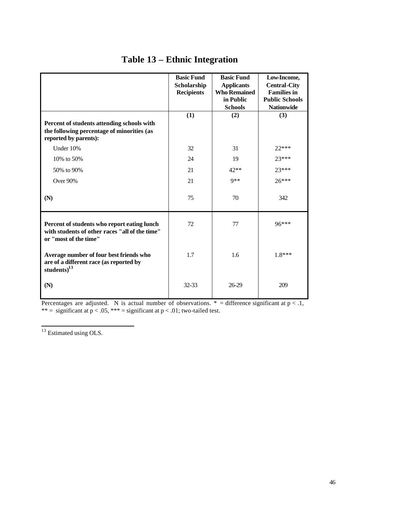|                                                                                                                        | <b>Basic Fund</b><br>Scholarship<br><b>Recipients</b> | <b>Basic Fund</b><br><b>Applicants</b><br><b>Who Remained</b><br>in Public<br><b>Schools</b> | Low-Income,<br><b>Central-City</b><br><b>Families in</b><br><b>Public Schools</b><br><b>Nationwide</b> |
|------------------------------------------------------------------------------------------------------------------------|-------------------------------------------------------|----------------------------------------------------------------------------------------------|--------------------------------------------------------------------------------------------------------|
| Percent of students attending schools with<br>the following percentage of minorities (as<br>reported by parents):      | (1)                                                   | (2)                                                                                          | (3)                                                                                                    |
| Under 10%                                                                                                              | 32                                                    | 31                                                                                           | $22***$                                                                                                |
| 10% to 50%                                                                                                             | 24                                                    | 19                                                                                           | $23***$                                                                                                |
| 50% to 90%                                                                                                             | 21                                                    | 42**                                                                                         | $23***$                                                                                                |
| Over 90%                                                                                                               | 21                                                    | $9**$                                                                                        | $26***$                                                                                                |
| (N)                                                                                                                    | 75                                                    | 70                                                                                           | 342                                                                                                    |
| Percent of students who report eating lunch<br>with students of other races "all of the time"<br>or "most of the time" | 72                                                    | 77                                                                                           | 96***                                                                                                  |
| Average number of four best friends who<br>are of a different race (as reported by<br>students) $^{13}$                | 1.7                                                   | 1.6                                                                                          | $1.8***$                                                                                               |
| (N)                                                                                                                    | $32 - 33$                                             | 26-29                                                                                        | 209                                                                                                    |

# **Table 13 – Ethnic Integration**

Percentages are adjusted. N is actual number of observations.  $* =$  difference significant at  $p < 1$ , \*\* = significant at  $p < .05$ , \*\*\* = significant at  $p < .01$ ; two-tailed test.

 $13$  Estimated using OLS.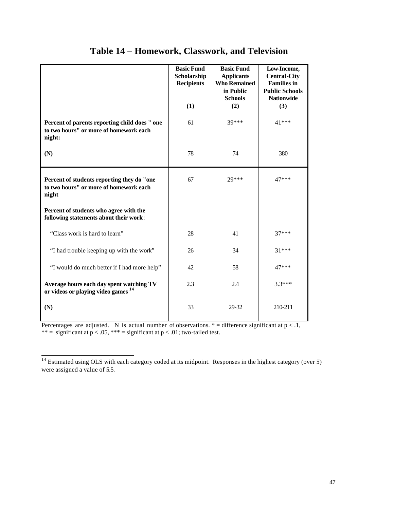|                                                                                                   | <b>Basic Fund</b><br>Scholarship<br><b>Recipients</b> | <b>Basic Fund</b><br><b>Applicants</b><br><b>Who Remained</b><br>in Public<br><b>Schools</b> | Low-Income,<br><b>Central-City</b><br><b>Families in</b><br><b>Public Schools</b><br><b>Nationwide</b> |
|---------------------------------------------------------------------------------------------------|-------------------------------------------------------|----------------------------------------------------------------------------------------------|--------------------------------------------------------------------------------------------------------|
|                                                                                                   | (1)                                                   | (2)                                                                                          | (3)                                                                                                    |
| Percent of parents reporting child does " one<br>to two hours" or more of homework each<br>night: | 61                                                    | 39***                                                                                        | 41***                                                                                                  |
| (N)                                                                                               | 78                                                    | 74                                                                                           | 380                                                                                                    |
| Percent of students reporting they do "one<br>to two hours" or more of homework each<br>night     | 67                                                    | 29***                                                                                        | 47***                                                                                                  |
| Percent of students who agree with the<br>following statements about their work:                  |                                                       |                                                                                              |                                                                                                        |
| "Class work is hard to learn"                                                                     | 28                                                    | 41                                                                                           | $37***$                                                                                                |
| "I had trouble keeping up with the work"                                                          | 26                                                    | 34                                                                                           | $31***$                                                                                                |
| "I would do much better if I had more help"                                                       | 42.                                                   | 58                                                                                           | 47***                                                                                                  |
| Average hours each day spent watching TV<br>or videos or playing video games <sup>14</sup>        | 2.3                                                   | 2.4                                                                                          | $3.3***$                                                                                               |
| (N)                                                                                               | 33                                                    | 29-32                                                                                        | 210-211                                                                                                |

### **Table 14 – Homework, Classwork, and Television**

Percentages are adjusted. N is actual number of observations.  $* =$  difference significant at  $p < 0.1$ , \*\* = significant at  $p < .05$ , \*\*\* = significant at  $p < .01$ ; two-tailed test.

 $14$  Estimated using OLS with each category coded at its midpoint. Responses in the highest category (over 5) were assigned a value of 5.5.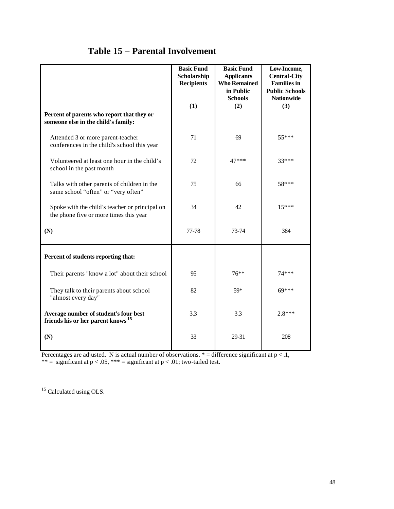|                                                                                          | <b>Basic Fund</b><br>Scholarship<br><b>Recipients</b> | <b>Basic Fund</b><br><b>Applicants</b><br><b>Who Remained</b><br>in Public<br><b>Schools</b> | Low-Income,<br><b>Central-City</b><br><b>Families in</b><br><b>Public Schools</b><br><b>Nationwide</b> |
|------------------------------------------------------------------------------------------|-------------------------------------------------------|----------------------------------------------------------------------------------------------|--------------------------------------------------------------------------------------------------------|
| Percent of parents who report that they or<br>someone else in the child's family:        | (1)                                                   | (2)                                                                                          | (3)                                                                                                    |
| Attended 3 or more parent-teacher<br>conferences in the child's school this year         | 71                                                    | 69                                                                                           | $55***$                                                                                                |
| Volunteered at least one hour in the child's<br>school in the past month                 | 72                                                    | 47***                                                                                        | 33***                                                                                                  |
| Talks with other parents of children in the<br>same school "often" or "very often"       | 75                                                    | 66                                                                                           | 58***                                                                                                  |
| Spoke with the child's teacher or principal on<br>the phone five or more times this year | 34                                                    | 42                                                                                           | $15***$                                                                                                |
| (N)                                                                                      | 77-78                                                 | 73-74                                                                                        | 384                                                                                                    |
| Percent of students reporting that:                                                      |                                                       |                                                                                              |                                                                                                        |
| Their parents "know a lot" about their school                                            | 95                                                    | $76***$                                                                                      | 74 ***                                                                                                 |
| They talk to their parents about school<br>"almost every day"                            | 82                                                    | 59*                                                                                          | $69***$                                                                                                |
| Average number of student's four best<br>friends his or her parent knows <sup>15</sup>   | 3.3                                                   | 3.3                                                                                          | $2.8***$                                                                                               |
| (N)                                                                                      | 33                                                    | 29-31                                                                                        | 208                                                                                                    |

## **Table 15 – Parental Involvement**

Percentages are adjusted. N is actual number of observations.  $* =$  difference significant at  $p < 1$ ,

\*\* = significant at  $p < .05$ , \*\*\* = significant at  $p < .01$ ; two-tailed test.

<sup>&</sup>lt;sup>15</sup> Calculated using OLS.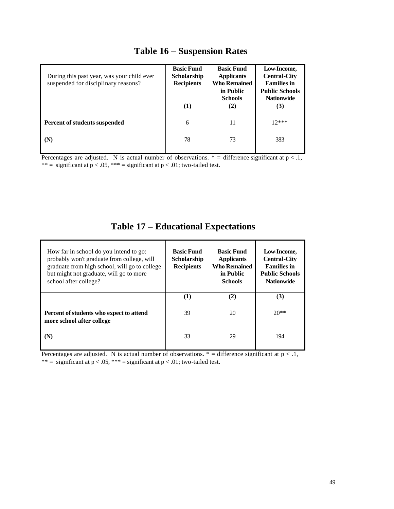| During this past year, was your child ever<br>suspended for disciplinary reasons? | <b>Basic Fund</b><br><b>Scholarship</b><br><b>Recipients</b> | <b>Basic Fund</b><br><b>Applicants</b><br><b>Who Remained</b><br>in Public<br><b>Schools</b> | Low-Income,<br><b>Central-City</b><br><b>Families in</b><br><b>Public Schools</b><br><b>Nationwide</b> |
|-----------------------------------------------------------------------------------|--------------------------------------------------------------|----------------------------------------------------------------------------------------------|--------------------------------------------------------------------------------------------------------|
|                                                                                   | (1)                                                          | (2)                                                                                          | (3)                                                                                                    |
| Percent of students suspended                                                     | 6                                                            | 11                                                                                           | $12***$                                                                                                |
| (N)                                                                               | 78                                                           | 73                                                                                           | 383                                                                                                    |

# **Table 16 – Suspension Rates**

Percentages are adjusted. N is actual number of observations.  $* =$  difference significant at  $p < 1$ , \*\* = significant at  $p < .05$ , \*\*\* = significant at  $p < .01$ ; two-tailed test.

| How far in school do you intend to go:<br>probably won't graduate from college, will<br>graduate from high school, will go to college<br>but might not graduate, will go to more<br>school after college? | <b>Basic Fund</b><br><b>Scholarship</b><br><b>Recipients</b> | <b>Basic Fund</b><br><b>Applicants</b><br><b>Who Remained</b><br>in Public<br><b>Schools</b> | Low-Income,<br><b>Central-City</b><br><b>Families in</b><br><b>Public Schools</b><br><b>Nationwide</b> |
|-----------------------------------------------------------------------------------------------------------------------------------------------------------------------------------------------------------|--------------------------------------------------------------|----------------------------------------------------------------------------------------------|--------------------------------------------------------------------------------------------------------|
|                                                                                                                                                                                                           | (1)                                                          | (2)                                                                                          | (3)                                                                                                    |
| Percent of students who expect to attend<br>more school after college                                                                                                                                     | 39                                                           | 20                                                                                           | $20**$                                                                                                 |
| (N)                                                                                                                                                                                                       | 33                                                           | 29                                                                                           | 194                                                                                                    |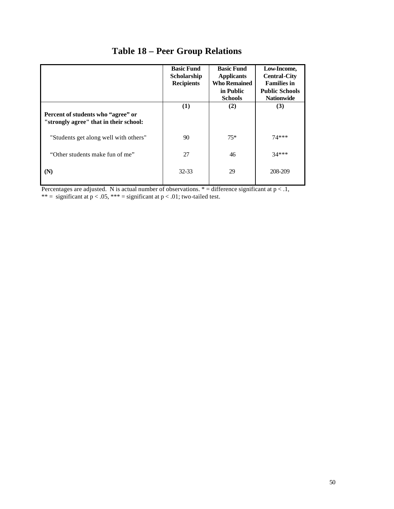|                                                                              | <b>Basic Fund</b><br><b>Scholarship</b><br><b>Recipients</b> | <b>Basic Fund</b><br><b>Applicants</b><br><b>Who Remained</b><br>in Public | Low-Income,<br><b>Central-City</b><br><b>Families in</b><br><b>Public Schools</b> |
|------------------------------------------------------------------------------|--------------------------------------------------------------|----------------------------------------------------------------------------|-----------------------------------------------------------------------------------|
|                                                                              |                                                              | <b>Schools</b>                                                             | <b>Nationwide</b>                                                                 |
| Percent of students who "agree" or<br>"strongly agree" that in their school: | (1)                                                          | (2)                                                                        | (3)                                                                               |
| "Students get along well with others"                                        | 90                                                           | $75*$                                                                      | $74***$                                                                           |
| "Other students make fun of me"                                              | 27                                                           | 46                                                                         | $34***$                                                                           |
| (N)                                                                          | 32-33                                                        | 29                                                                         | 208-209                                                                           |

# **Table 18 – Peer Group Relations**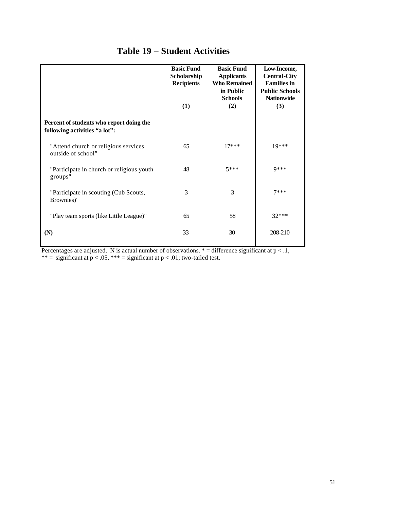|                                                                           | <b>Basic Fund</b><br>Scholarship<br><b>Recipients</b> | <b>Basic Fund</b><br><b>Applicants</b><br><b>Who Remained</b><br>in Public<br><b>Schools</b> | Low-Income,<br><b>Central-City</b><br><b>Families in</b><br><b>Public Schools</b><br><b>Nationwide</b> |
|---------------------------------------------------------------------------|-------------------------------------------------------|----------------------------------------------------------------------------------------------|--------------------------------------------------------------------------------------------------------|
|                                                                           | (1)                                                   | (2)                                                                                          | (3)                                                                                                    |
| Percent of students who report doing the<br>following activities "a lot": |                                                       |                                                                                              |                                                                                                        |
| "Attend church or religious services"<br>outside of school"               | 65                                                    | $17***$                                                                                      | 19***                                                                                                  |
| "Participate in church or religious youth<br>groups"                      | 48                                                    | $5***$                                                                                       | Q***                                                                                                   |
| "Participate in scouting (Cub Scouts,<br>Brownies)"                       | 3                                                     | 3                                                                                            | $7***$                                                                                                 |
| "Play team sports (like Little League)"                                   | 65                                                    | 58                                                                                           | $32***$                                                                                                |
| (N)                                                                       | 33                                                    | 30                                                                                           | 208-210                                                                                                |

## **Table 19 – Student Activities**